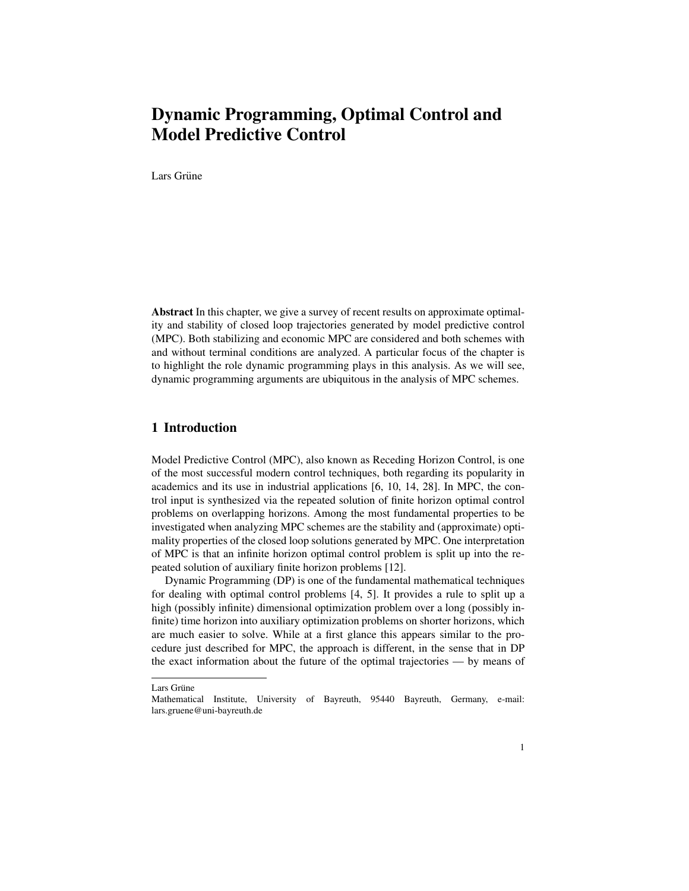# Dynamic Programming, Optimal Control and Model Predictive Control

Lars Grüne

Abstract In this chapter, we give a survey of recent results on approximate optimality and stability of closed loop trajectories generated by model predictive control (MPC). Both stabilizing and economic MPC are considered and both schemes with and without terminal conditions are analyzed. A particular focus of the chapter is to highlight the role dynamic programming plays in this analysis. As we will see, dynamic programming arguments are ubiquitous in the analysis of MPC schemes.

## 1 Introduction

Model Predictive Control (MPC), also known as Receding Horizon Control, is one of the most successful modern control techniques, both regarding its popularity in academics and its use in industrial applications [6, 10, 14, 28]. In MPC, the control input is synthesized via the repeated solution of finite horizon optimal control problems on overlapping horizons. Among the most fundamental properties to be investigated when analyzing MPC schemes are the stability and (approximate) optimality properties of the closed loop solutions generated by MPC. One interpretation of MPC is that an infinite horizon optimal control problem is split up into the repeated solution of auxiliary finite horizon problems [12].

Dynamic Programming (DP) is one of the fundamental mathematical techniques for dealing with optimal control problems [4, 5]. It provides a rule to split up a high (possibly infinite) dimensional optimization problem over a long (possibly infinite) time horizon into auxiliary optimization problems on shorter horizons, which are much easier to solve. While at a first glance this appears similar to the procedure just described for MPC, the approach is different, in the sense that in DP the exact information about the future of the optimal trajectories — by means of

Lars Grüne

Mathematical Institute, University of Bayreuth, 95440 Bayreuth, Germany, e-mail: lars.gruene@uni-bayreuth.de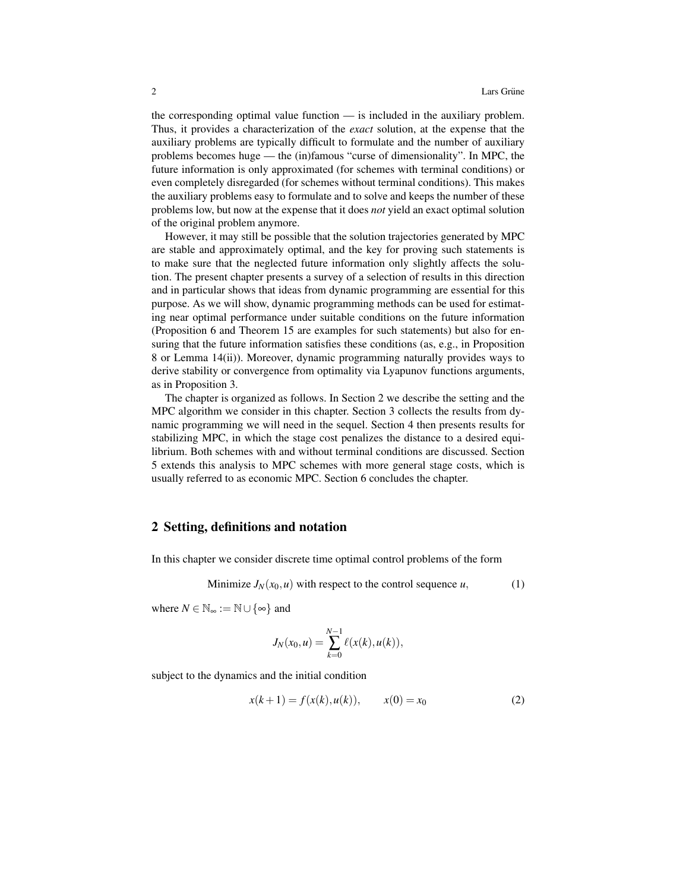the corresponding optimal value function — is included in the auxiliary problem. Thus, it provides a characterization of the *exact* solution, at the expense that the auxiliary problems are typically difficult to formulate and the number of auxiliary problems becomes huge — the (in)famous "curse of dimensionality". In MPC, the future information is only approximated (for schemes with terminal conditions) or even completely disregarded (for schemes without terminal conditions). This makes the auxiliary problems easy to formulate and to solve and keeps the number of these problems low, but now at the expense that it does *not* yield an exact optimal solution of the original problem anymore.

However, it may still be possible that the solution trajectories generated by MPC are stable and approximately optimal, and the key for proving such statements is to make sure that the neglected future information only slightly affects the solution. The present chapter presents a survey of a selection of results in this direction and in particular shows that ideas from dynamic programming are essential for this purpose. As we will show, dynamic programming methods can be used for estimating near optimal performance under suitable conditions on the future information (Proposition 6 and Theorem 15 are examples for such statements) but also for ensuring that the future information satisfies these conditions (as, e.g., in Proposition 8 or Lemma 14(ii)). Moreover, dynamic programming naturally provides ways to derive stability or convergence from optimality via Lyapunov functions arguments, as in Proposition 3.

The chapter is organized as follows. In Section 2 we describe the setting and the MPC algorithm we consider in this chapter. Section 3 collects the results from dynamic programming we will need in the sequel. Section 4 then presents results for stabilizing MPC, in which the stage cost penalizes the distance to a desired equilibrium. Both schemes with and without terminal conditions are discussed. Section 5 extends this analysis to MPC schemes with more general stage costs, which is usually referred to as economic MPC. Section 6 concludes the chapter.

#### 2 Setting, definitions and notation

In this chapter we consider discrete time optimal control problems of the form

Minimize  $J_N(x_0, u)$  with respect to the control sequence *u*, (1)

where  $N \in \mathbb{N}_{\infty} := \mathbb{N} \cup \{\infty\}$  and

$$
J_N(x_0, u) = \sum_{k=0}^{N-1} \ell(x(k), u(k)),
$$

subject to the dynamics and the initial condition

$$
x(k+1) = f(x(k), u(k)), \qquad x(0) = x_0 \tag{2}
$$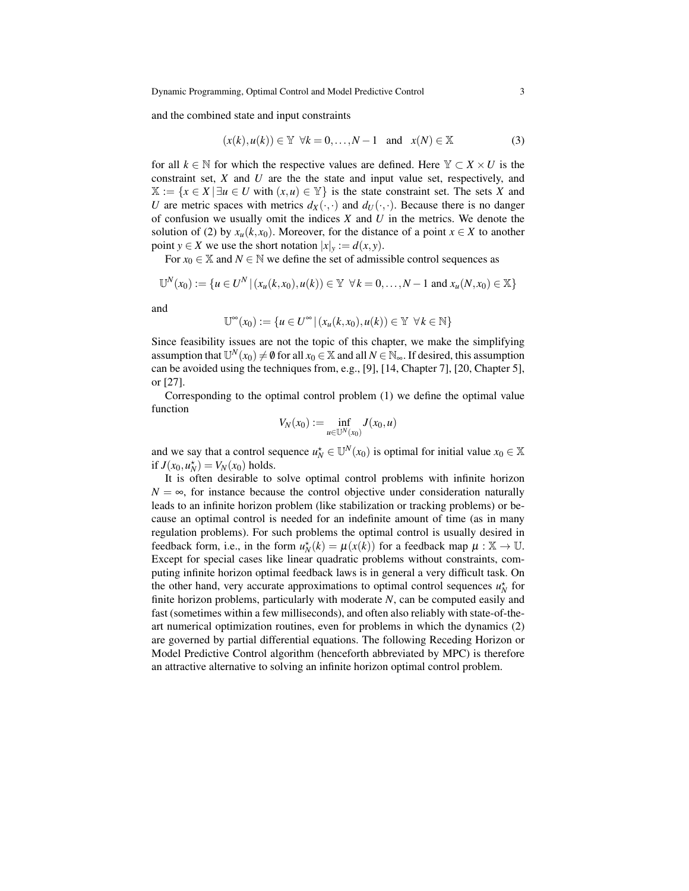and the combined state and input constraints

$$
(x(k), u(k)) \in \mathbb{Y} \quad \forall k = 0, \dots, N-1 \quad \text{and} \quad x(N) \in \mathbb{X} \tag{3}
$$

for all  $k \in \mathbb{N}$  for which the respective values are defined. Here  $\mathbb{Y} \subset X \times U$  is the constraint set, *X* and *U* are the the state and input value set, respectively, and  $X := \{x \in X \mid \exists u \in U \text{ with } (x, u) \in Y\}$  is the state constraint set. The sets X and *U* are metric spaces with metrics  $d_X(\cdot, \cdot)$  and  $d_U(\cdot, \cdot)$ . Because there is no danger of confusion we usually omit the indices *X* and *U* in the metrics. We denote the solution of (2) by  $x_u(k, x_0)$ . Moreover, for the distance of a point  $x \in X$  to another point *y*  $\in$  *X* we use the short notation  $|x|_y := d(x, y)$ .

For  $x_0 \in \mathbb{X}$  and  $N \in \mathbb{N}$  we define the set of admissible control sequences as

$$
\mathbb{U}^N(x_0) := \{ u \in U^N \, | \, (x_u(k, x_0), u(k)) \in \mathbb{Y} \ \forall k = 0, \dots, N-1 \text{ and } x_u(N, x_0) \in \mathbb{X} \}
$$

and

$$
\mathbb{U}^{\infty}(x_0) := \{ u \in U^{\infty} | (x_u(k, x_0), u(k)) \in \mathbb{Y} \ \forall k \in \mathbb{N} \}
$$

Since feasibility issues are not the topic of this chapter, we make the simplifying assumption that  $\mathbb{U}^N(x_0) \neq \emptyset$  for all  $x_0 \in \mathbb{X}$  and all  $N \in \mathbb{N}_{\infty}$ . If desired, this assumption can be avoided using the techniques from, e.g., [9], [14, Chapter 7], [20, Chapter 5], or [27].

Corresponding to the optimal control problem (1) we define the optimal value function

$$
V_N(x_0) := \inf_{u \in \mathbb{U}^N(x_0)} J(x_0, u)
$$

and we say that a control sequence  $u_N^* \in \mathbb{U}^N(x_0)$  is optimal for initial value  $x_0 \in \mathbb{X}$ if  $J(x_0, u_N^*) = V_N(x_0)$  holds.

It is often desirable to solve optimal control problems with infinite horizon  $N = \infty$ , for instance because the control objective under consideration naturally leads to an infinite horizon problem (like stabilization or tracking problems) or because an optimal control is needed for an indefinite amount of time (as in many regulation problems). For such problems the optimal control is usually desired in feedback form, i.e., in the form  $u_N^*(k) = \mu(x(k))$  for a feedback map  $\mu : \mathbb{X} \to \mathbb{U}$ . Except for special cases like linear quadratic problems without constraints, computing infinite horizon optimal feedback laws is in general a very difficult task. On the other hand, very accurate approximations to optimal control sequences  $u_N^*$  for finite horizon problems, particularly with moderate *N*, can be computed easily and fast (sometimes within a few milliseconds), and often also reliably with state-of-theart numerical optimization routines, even for problems in which the dynamics (2) are governed by partial differential equations. The following Receding Horizon or Model Predictive Control algorithm (henceforth abbreviated by MPC) is therefore an attractive alternative to solving an infinite horizon optimal control problem.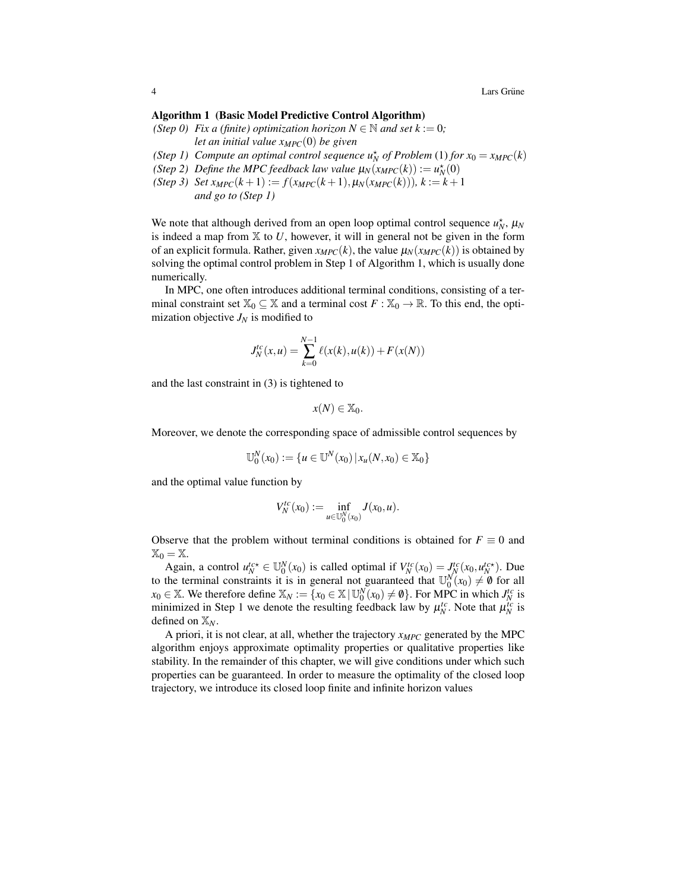4 Lars Grüne  $\frac{1}{2}$  Lars Grüne  $\frac{1}{2}$  Lars Grüne  $\frac{1}{2}$  Lars Grüne  $\frac{1}{2}$ 

#### Algorithm 1 (Basic Model Predictive Control Algorithm)

*(Step 0) Fix a (finite) optimization horizon*  $N \in \mathbb{N}$  *and set*  $k := 0$ *;* 

*let an initial value xMPC*(0) *be given*

- *(Step 1)* Compute an optimal control sequence  $u_N^*$  of Problem (1) for  $x_0 = x_{MPC}(k)$
- *(Step 2) Define the MPC feedback law value*  $\mu_N(x_{MPC}(k)) := \mu_N^*(0)$
- *(Step 3) Set*  $x_{MPC}(k+1) := f(x_{MPC}(k+1), \mu_N(x_{MPC}(k)))$ *,*  $k := k+1$ *and go to (Step 1)*

We note that although derived from an open loop optimal control sequence  $u_N^*$ ,  $\mu_N$ is indeed a map from  $X$  to U, however, it will in general not be given in the form of an explicit formula. Rather, given  $x_{MPC}(k)$ , the value  $\mu_N(x_{MPC}(k))$  is obtained by solving the optimal control problem in Step 1 of Algorithm 1, which is usually done numerically.

In MPC, one often introduces additional terminal conditions, consisting of a terminal constraint set  $\mathbb{X}_0 \subseteq \mathbb{X}$  and a terminal cost  $F : \mathbb{X}_0 \to \mathbb{R}$ . To this end, the optimization objective  $J_N$  is modified to

$$
J_N^{tc}(x, u) = \sum_{k=0}^{N-1} \ell(x(k), u(k)) + F(x(N))
$$

and the last constraint in (3) is tightened to

*N*

$$
x(N)\in\mathbb{X}_0.
$$

Moreover, we denote the corresponding space of admissible control sequences by

$$
\mathbb{U}_0^N(x_0) := \{ u \in \mathbb{U}^N(x_0) \, | \, x_u(N, x_0) \in \mathbb{X}_0 \}
$$

and the optimal value function by

$$
V_N^{tc}(x_0) := \inf_{u \in \mathbb{U}_0^N(x_0)} J(x_0, u).
$$

Observe that the problem without terminal conditions is obtained for  $F \equiv 0$  and  $\mathbb{X}_0 = \mathbb{X}.$ 

Again, a control  $u_N^{tc*} \in \mathbb{U}_0^N(x_0)$  is called optimal if  $V_N^{tc}(x_0) = J_N^{tc}(x_0, u_N^{tc*})$ . Due to the terminal constraints it is in general not guaranteed that  $\mathbb{U}_{0}^{N}(x_{0}) \neq \emptyset$  for all  $x_0 \in \mathbb{X}$ . We therefore define  $\mathbb{X}_N := \{x_0 \in \mathbb{X} \mid \mathbb{U}_0^N(x_0) \neq \emptyset\}$ . For MPC in which  $J_N^{tc}$  is minimized in Step 1 we denote the resulting feedback law by  $\mu_N^{tc}$ . Note that  $\mu_N^{tc}$  is defined on X*N*.

A priori, it is not clear, at all, whether the trajectory *xMPC* generated by the MPC algorithm enjoys approximate optimality properties or qualitative properties like stability. In the remainder of this chapter, we will give conditions under which such properties can be guaranteed. In order to measure the optimality of the closed loop trajectory, we introduce its closed loop finite and infinite horizon values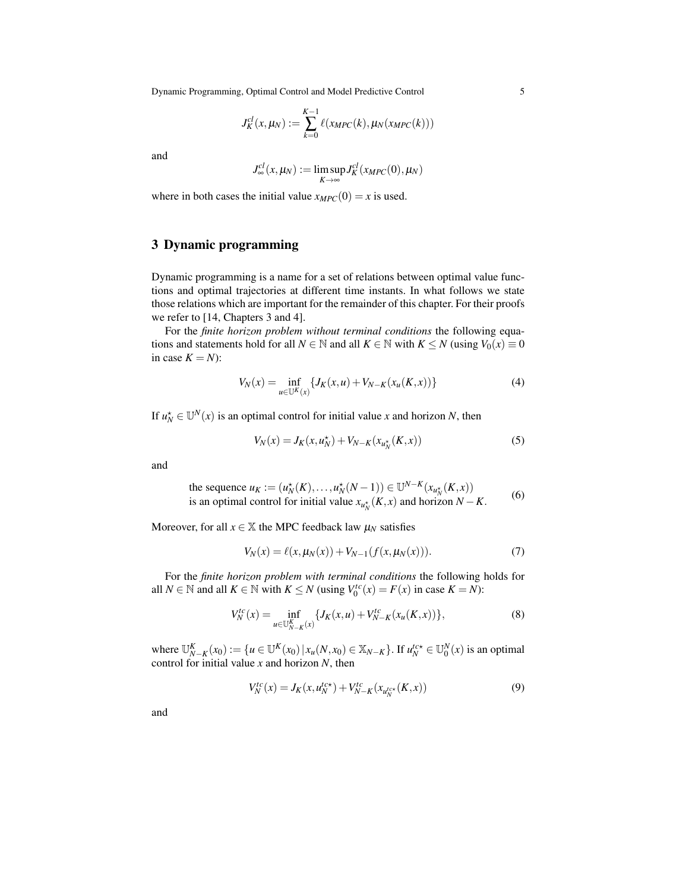Dynamic Programming, Optimal Control and Model Predictive Control 5

$$
J_K^{cl}(x,\mu_N) := \sum_{k=0}^{K-1} \ell(x_{MPC}(k),\mu_N(x_{MPC}(k)))
$$

and

$$
J_{\infty}^{cl}(x,\mu_N):=\limsup_{K\to\infty}J_K^{cl}(x_{MPC}(0),\mu_N)
$$

where in both cases the initial value  $x_{MPC}(0) = x$  is used.

# 3 Dynamic programming

Dynamic programming is a name for a set of relations between optimal value functions and optimal trajectories at different time instants. In what follows we state those relations which are important for the remainder of this chapter. For their proofs we refer to [14, Chapters 3 and 4].

For the *finite horizon problem without terminal conditions* the following equations and statements hold for all  $N \in \mathbb{N}$  and all  $K \in \mathbb{N}$  with  $K \leq N$  (using  $V_0(x) \equiv 0$ in case  $K = N$ :

$$
V_N(x) = \inf_{u \in \mathbb{U}^K(x)} \{ J_K(x, u) + V_{N-K}(x_u(K, x)) \}
$$
(4)

If  $u_N^* \in U^N(x)$  is an optimal control for initial value *x* and horizon *N*, then

$$
V_N(x) = J_K(x, u_N^*) + V_{N-K}(x_{u_N^*}(K, x))
$$
\n(5)

and

the sequence 
$$
u_K := (u_N^*(K), \dots, u_N^*(N-1)) \in \mathbb{U}^{N-K}(x_{u_N^*}(K, x))
$$
  
is an optimal control for initial value  $x_{u_N^*}(K, x)$  and horizon  $N - K$ . (6)

Moreover, for all  $x \in \mathbb{X}$  the MPC feedback law  $\mu_N$  satisfies

$$
V_N(x) = \ell(x, \mu_N(x)) + V_{N-1}(f(x, \mu_N(x))). \tag{7}
$$

For the *finite horizon problem with terminal conditions* the following holds for all *N* ∈ N and all *K* ∈ N with *K* ≤ *N* (using  $V_0^{tc}(x) = F(x)$  in case *K* = *N*):

$$
V_N^{tc}(x) = \inf_{u \in \mathbb{U}_{N-K}^K(x)} \{ J_K(x, u) + V_{N-K}^{tc}(x_u(K, x)) \},\tag{8}
$$

where  $\mathbb{U}_{N-K}^K(x_0) := \{u \in \mathbb{U}^K(x_0) | x_u(N, x_0) \in X_{N-K}\}.$  If  $u_N^{t \circ x} \in \mathbb{U}_0^N(x)$  is an optimal control for initial value *x* and horizon *N*, then

$$
V_N^{tc}(x) = J_K(x, u_N^{tc*}) + V_{N-K}^{tc}(x_{u_N^{tc*}}(K, x))
$$
\n(9)

and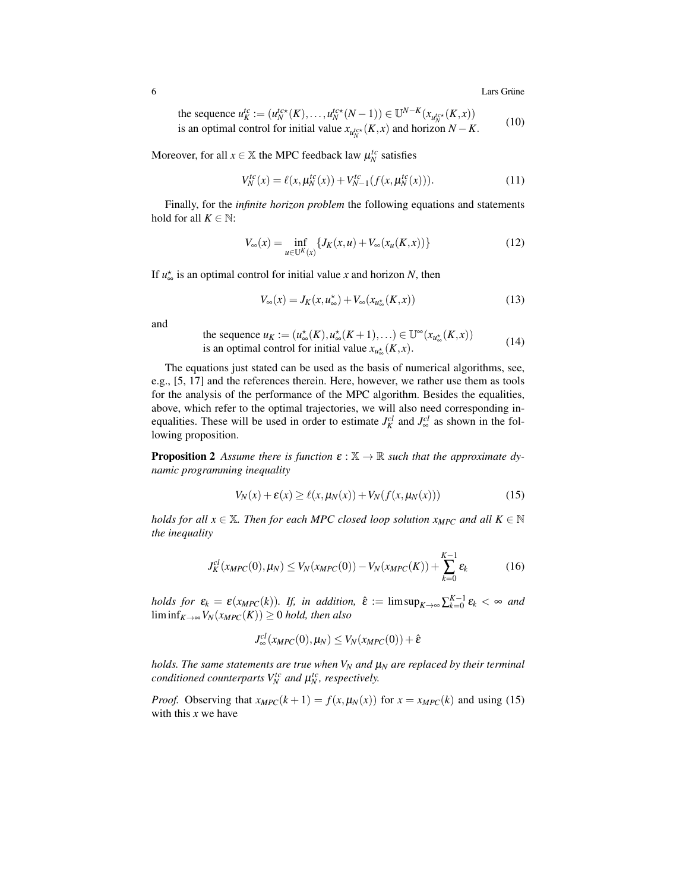**6** Lars Grüne  $\frac{1}{2}$  Lars Grüne  $\frac{1}{2}$  Lars Grüne  $\frac{1}{2}$  Lars Grüne  $\frac{1}{2}$ 

the sequence 
$$
u_K^{\text{lc}} := (u_N^{\text{lc} \star}(K), \dots, u_N^{\text{lc} \star}(N-1)) \in \mathbb{U}^{N-K}(x_{u_N^{\text{lc} \star}}(K, x))
$$
 is an optimal control for initial value  $x_{u_N^{\text{lc} \star}}(K, x)$  and horizon  $N - K$ . (10)

Moreover, for all  $x \in \mathbb{X}$  the MPC feedback law  $\mu_N^{tc}$  satisfies

$$
V_N^{tc}(x) = \ell(x, \mu_N^{tc}(x)) + V_{N-1}^{tc}(f(x, \mu_N^{tc}(x))).
$$
\n(11)

Finally, for the *infinite horizon problem* the following equations and statements hold for all  $K \in \mathbb{N}$ :

$$
V_{\infty}(x) = \inf_{u \in \mathbb{U}^{K}(x)} \{ J_{K}(x, u) + V_{\infty}(x_{u}(K, x)) \}
$$
(12)

If  $u_{\infty}^{\star}$  is an optimal control for initial value *x* and horizon *N*, then

$$
V_{\infty}(x) = J_K(x, u_{\infty}^*) + V_{\infty}(x_{u_{\infty}^*}(K, x))
$$
\n(13)

and

the sequence 
$$
u_K := (u_{\infty}^*(K), u_{\infty}^*(K+1), \ldots) \in \mathbb{U}^{\infty}(x_{u_{\infty}^*}(K,x))
$$
  
is an optimal control for initial value  $x_{u_{\infty}^*}(K,x)$ . (14)

The equations just stated can be used as the basis of numerical algorithms, see, e.g., [5, 17] and the references therein. Here, however, we rather use them as tools for the analysis of the performance of the MPC algorithm. Besides the equalities, above, which refer to the optimal trajectories, we will also need corresponding inequalities. These will be used in order to estimate  $J_K^{cl}$  and  $J_\infty^{cl}$  as shown in the following proposition.

**Proposition 2** Assume there is function  $\varepsilon : \mathbb{X} \to \mathbb{R}$  such that the approximate dy*namic programming inequality*

$$
V_N(x) + \varepsilon(x) \ge \ell(x, \mu_N(x)) + V_N(f(x, \mu_N(x)))
$$
\n(15)

*holds for all*  $x \in \mathbb{X}$ *. Then for each MPC closed loop solution*  $x_{MPC}$  *and all*  $K \in \mathbb{N}$ *the inequality*

$$
J_K^{cl}(x_{MPC}(0), \mu_N) \le V_N(x_{MPC}(0)) - V_N(x_{MPC}(K)) + \sum_{k=0}^{K-1} \varepsilon_k
$$
 (16)

*holds for*  $\varepsilon_k = \varepsilon(x_{MPC}(k))$ . If, in addition,  $\hat{\varepsilon} := \limsup_{K \to \infty} \sum_{k=0}^{K-1} \varepsilon_k < \infty$  and  $\liminf_{K\to\infty}V_N(x_{MPC}(K))\geq 0$  *hold, then also* 

$$
J_{\infty}^{cl}(x_{MPC}(0), \mu_N) \leq V_N(x_{MPC}(0)) + \hat{\varepsilon}
$$

*holds. The same statements are true when V<sup>N</sup> and* µ*<sup>N</sup> are replaced by their terminal conditioned counterparts*  $V_N^{tc}$  *and*  $\mu_N^{tc}$ *, respectively.* 

*Proof.* Observing that  $x_{MPC}(k+1) = f(x, \mu_N(x))$  for  $x = x_{MPC}(k)$  and using (15) with this *x* we have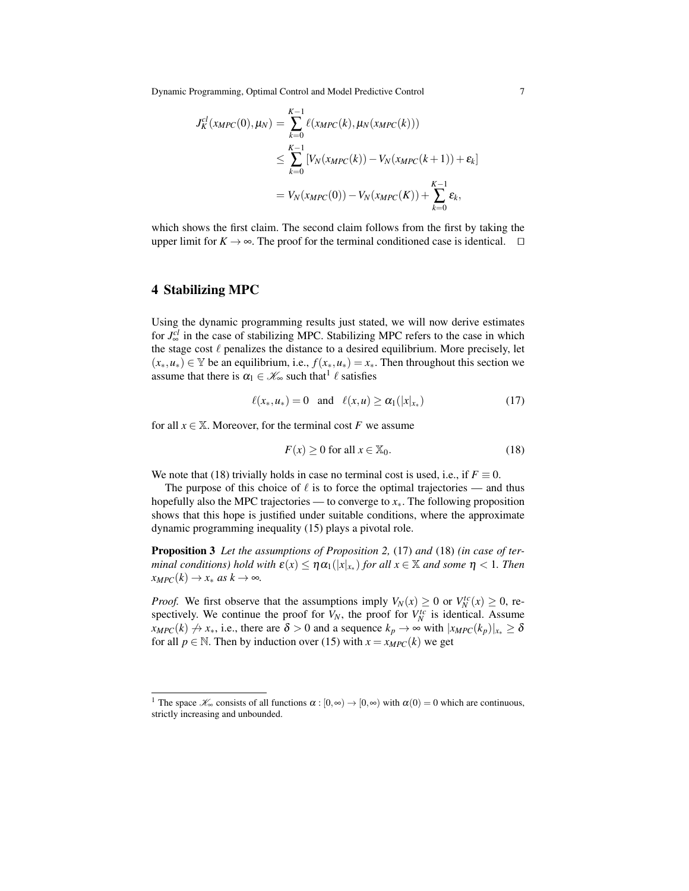Dynamic Programming, Optimal Control and Model Predictive Control 7

$$
J_K^{cl}(x_{MPC}(0), \mu_N) = \sum_{k=0}^{K-1} \ell(x_{MPC}(k), \mu_N(x_{MPC}(k)))
$$
  
\n
$$
\leq \sum_{k=0}^{K-1} [V_N(x_{MPC}(k)) - V_N(x_{MPC}(k+1)) + \varepsilon_k]
$$
  
\n
$$
= V_N(x_{MPC}(0)) - V_N(x_{MPC}(K)) + \sum_{k=0}^{K-1} \varepsilon_k,
$$

which shows the first claim. The second claim follows from the first by taking the upper limit for  $K \to \infty$ . The proof for the terminal conditioned case is identical.  $\square$ 

#### 4 Stabilizing MPC

Using the dynamic programming results just stated, we will now derive estimates for  $J_{\infty}^{cl}$  in the case of stabilizing MPC. Stabilizing MPC refers to the case in which the stage cost  $\ell$  penalizes the distance to a desired equilibrium. More precisely, let  $(x_*, u_*) \in \mathbb{Y}$  be an equilibrium, i.e.,  $f(x_*, u_*) = x_*$ . Then throughout this section we assume that there is  $\alpha_1 \in \mathcal{K}_\infty$  such that  $\ell$  satisfies

$$
\ell(x_*, u_*) = 0 \quad \text{and} \quad \ell(x, u) \ge \alpha_1(|x|_{x_*}) \tag{17}
$$

for all  $x \in \mathbb{X}$ . Moreover, for the terminal cost *F* we assume

$$
F(x) \ge 0 \text{ for all } x \in \mathbb{X}_0. \tag{18}
$$

We note that (18) trivially holds in case no terminal cost is used, i.e., if  $F \equiv 0$ .

The purpose of this choice of  $\ell$  is to force the optimal trajectories — and thus hopefully also the MPC trajectories — to converge to *x*∗. The following proposition shows that this hope is justified under suitable conditions, where the approximate dynamic programming inequality (15) plays a pivotal role.

Proposition 3 *Let the assumptions of Proposition 2,* (17) *and* (18) *(in case of terminal conditions) hold with*  $\mathbf{\varepsilon}(x) \leq \eta \alpha_1(|x|_{x_*})$  *for all*  $x \in \mathbb{X}$  *and some*  $\eta < 1$ *. Then*  $x_{MPC}(k) \rightarrow x_*$  *as*  $k \rightarrow \infty$ *.* 

*Proof.* We first observe that the assumptions imply  $V_N(x) \ge 0$  or  $V_N^{\text{tc}}(x) \ge 0$ , respectively. We continue the proof for  $V_N$ , the proof for  $V_N^{tc}$  is identical. Assume  $x_{MPC}(k) \nrightarrow x_*,$  i.e., there are  $\delta > 0$  and a sequence  $k_p \rightarrow \infty$  with  $|x_{MPC}(k_p)|_{x_*} \ge \delta$ for all  $p \in \mathbb{N}$ . Then by induction over (15) with  $x = x_{MPC}(k)$  we get

<sup>&</sup>lt;sup>1</sup> The space  $\mathscr{K}_{\infty}$  consists of all functions  $\alpha : [0, \infty) \to [0, \infty)$  with  $\alpha(0) = 0$  which are continuous, strictly increasing and unbounded.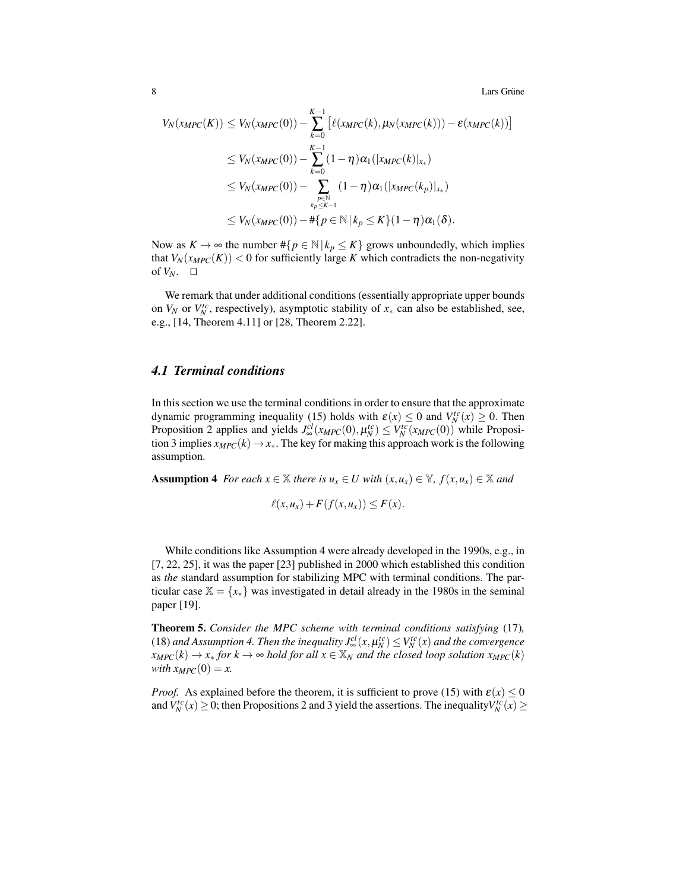8 Lars Grüne  $\sim$  28 Lars Grüne  $\sim$  28 Lars Grüne  $\sim$  28 Lars Grüne  $\sim$  28 Lars Grüne  $\sim$  28 Lars Grüne  $\sim$  28 Lars Grüne  $\sim$  28 Lars Grüne  $\sim$  28 Lars Grüne  $\sim$  28 Lars Grüne  $\sim$  28 Lars Grüne  $\sim$  28 Lars Grüne

$$
V_N(x_{MPC}(K)) \leq V_N(x_{MPC}(0)) - \sum_{k=0}^{K-1} \left[ \ell(x_{MPC}(k), \mu_N(x_{MPC}(k))) - \varepsilon(x_{MPC}(k)) \right]
$$
  
\n
$$
\leq V_N(x_{MPC}(0)) - \sum_{k=0}^{K-1} (1 - \eta) \alpha_1(|x_{MPC}(k)|_{x_*})
$$
  
\n
$$
\leq V_N(x_{MPC}(0)) - \sum_{\substack{p \in \mathbb{N} \\ k_P \leq K-1}} (1 - \eta) \alpha_1(|x_{MPC}(k_p)|_{x_*})
$$
  
\n
$$
\leq V_N(x_{MPC}(0)) - \#\{p \in \mathbb{N} \mid k_P \leq K\} (1 - \eta) \alpha_1(\delta).
$$

Now as  $K \to \infty$  the number  $\# \{ p \in \mathbb{N} \mid k_p \leq K \}$  grows unboundedly, which implies that  $V_N(x_{MPC}(K))$  < 0 for sufficiently large *K* which contradicts the non-negativity of  $V_N$ .  $\Box$ 

We remark that under additional conditions (essentially appropriate upper bounds on  $V_N$  or  $V_N^{tc}$ , respectively), asymptotic stability of  $x_*$  can also be established, see, e.g., [14, Theorem 4.11] or [28, Theorem 2.22].

## *4.1 Terminal conditions*

In this section we use the terminal conditions in order to ensure that the approximate dynamic programming inequality (15) holds with  $\varepsilon(x) \le 0$  and  $V_N^{tc}(x) \ge 0$ . Then Proposition 2 applies and yields  $J^{cl}_{\infty}(x_{MPC}(0), \mu^{tc}_{N}) \leq V^{tc}_{N}(x_{MPC}(0))$  while Proposition 3 implies  $x_{MPC}(k) \rightarrow x_*$ . The key for making this approach work is the following assumption.

**Assumption 4** *For each*  $x \in \mathbb{X}$  *there is*  $u_x \in U$  *with*  $(x, u_x) \in \mathbb{Y}$ *,*  $f(x, u_x) \in \mathbb{X}$  *and* 

$$
\ell(x, u_x) + F(f(x, u_x)) \leq F(x).
$$

While conditions like Assumption 4 were already developed in the 1990s, e.g., in [7, 22, 25], it was the paper [23] published in 2000 which established this condition as *the* standard assumption for stabilizing MPC with terminal conditions. The particular case  $\mathbb{X} = \{x_*\}$  was investigated in detail already in the 1980s in the seminal paper [19].

Theorem 5. *Consider the MPC scheme with terminal conditions satisfying* (17)*,* (18) and Assumption 4. Then the inequality  $J^{cl}_{\infty}(x,\mu^{tc}_N) \leq V^{tc}_N(x)$  and the convergence  $x_{MPC}(k) \rightarrow x_*$  *for*  $k \rightarrow \infty$  *hold for all*  $x \in \mathbb{X}_N$  *and the closed loop solution*  $x_{MPC}(k)$ *with*  $x_{MPC}(0) = x$ .

*Proof.* As explained before the theorem, it is sufficient to prove (15) with  $\varepsilon(x) \le 0$ and  $V_N^{tc}(x) \ge 0$ ; then Propositions 2 and 3 yield the assertions. The inequality  $V_N^{tc}(x) \ge 0$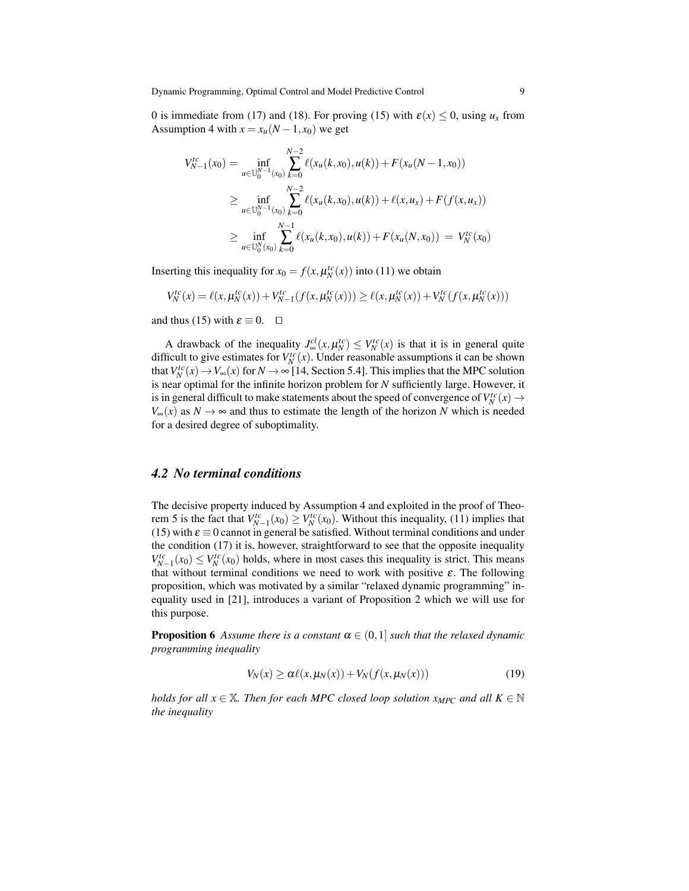0 is immediate from (17) and (18). For proving (15) with  $\varepsilon(x) \le 0$ , using  $u_x$  from Assumption 4 with  $x = x_u(N - 1, x_0)$  we get

$$
V_{N-1}^{tc}(x_0) = \inf_{u \in \mathbb{U}_0^{N-1}(x_0)} \sum_{k=0}^{N-2} \ell(x_u(k, x_0), u(k)) + F(x_u(N-1, x_0))
$$
  
\n
$$
\geq \inf_{u \in \mathbb{U}_0^{N-1}(x_0)} \sum_{k=0}^{N-2} \ell(x_u(k, x_0), u(k)) + \ell(x, u_x) + F(f(x, u_x))
$$
  
\n
$$
\geq \inf_{u \in \mathbb{U}_0^{N}(x_0)} \sum_{k=0}^{N-1} \ell(x_u(k, x_0), u(k)) + F(x_u(N, x_0)) = V_N^{tc}(x_0)
$$

Inserting this inequality for  $x_0 = f(x, \mu_N^{tc}(x))$  into (11) we obtain

$$
V_N^{tc}(x) = \ell(x, \mu_N^{tc}(x)) + V_{N-1}^{tc}(f(x, \mu_N^{tc}(x))) \geq \ell(x, \mu_N^{tc}(x)) + V_N^{tc}(f(x, \mu_N^{tc}(x)))
$$

and thus (15) with  $\varepsilon \equiv 0$ .  $\Box$ 

A drawback of the inequality  $J^{cl}_{\infty}(x, \mu^{tc}_N) \leq V^{tc}_N(x)$  is that it is in general quite difficult to give estimates for  $V_N^{tc}(x)$ . Under reasonable assumptions it can be shown that  $V_N^{tc}(x) \to V_\infty(x)$  for  $N \to \infty$  [14, Section 5.4]. This implies that the MPC solution is near optimal for the infinite horizon problem for *N* sufficiently large. However, it is in general difficult to make statements about the speed of convergence of  $V_N^{tc}(x) \rightarrow$  $V_{\infty}(x)$  as  $N \to \infty$  and thus to estimate the length of the horizon *N* which is needed for a desired degree of suboptimality.

#### *4.2 No terminal conditions*

The decisive property induced by Assumption 4 and exploited in the proof of Theorem 5 is the fact that  $V_{N-1}^{tc}(x_0) \geq V_N^{tc}(x_0)$ . Without this inequality, (11) implies that (15) with  $\varepsilon \equiv 0$  cannot in general be satisfied. Without terminal conditions and under the condition (17) it is, however, straightforward to see that the opposite inequality  $V_{N-1}^{tc}(x_0) \leq V_N^{tc}(x_0)$  holds, where in most cases this inequality is strict. This means that without terminal conditions we need to work with positive  $\varepsilon$ . The following proposition, which was motivated by a similar "relaxed dynamic programming" inequality used in [21], introduces a variant of Proposition 2 which we will use for this purpose.

**Proposition 6** Assume there is a constant  $\alpha \in (0,1]$  such that the relaxed dynamic *programming inequality*

$$
V_N(x) \ge \alpha \ell(x, \mu_N(x)) + V_N(f(x, \mu_N(x))) \tag{19}
$$

*holds for all*  $x \in \mathbb{X}$ *. Then for each MPC closed loop solution*  $x_{MPC}$  *and all*  $K \in \mathbb{N}$ *the inequality*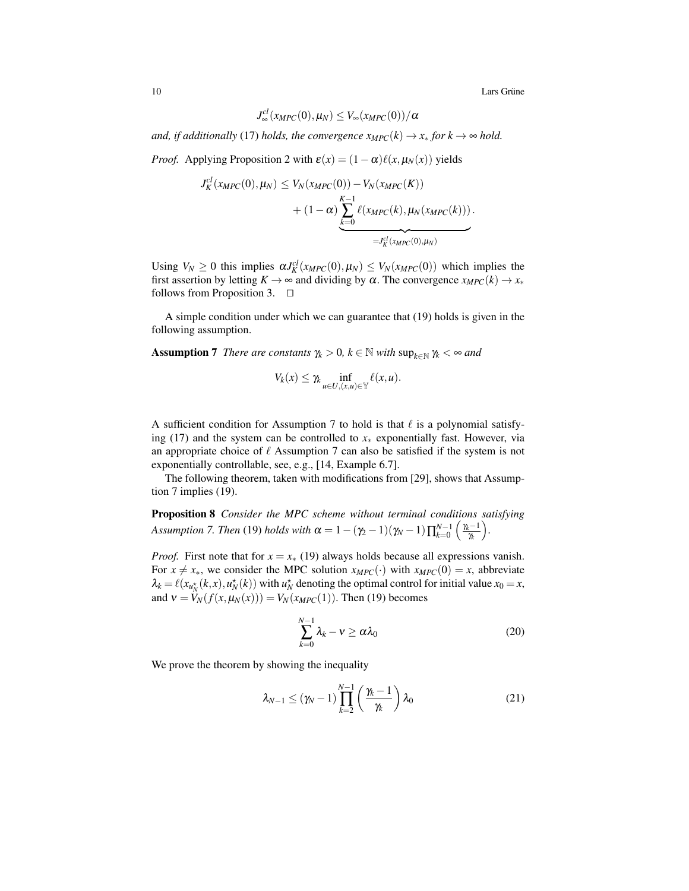10 Lars Grüne metal in the set of the set of the set of the set of the set of the set of the set of the set of the set of the set of the set of the set of the set of the set of the set of the set of the set of the set of t

$$
J_{\infty}^{cl}(x_{MPC}(0),\mu_N)\leq V_{\infty}(x_{MPC}(0))/\alpha
$$

*and, if additionally* (17) *holds, the convergence*  $x_{MPC}(k) \rightarrow x_*$  *for*  $k \rightarrow \infty$  *hold.* 

*Proof.* Applying Proposition 2 with  $\varepsilon(x) = (1 - \alpha)\ell(x, \mu_N(x))$  yields

$$
J_K^{cl}(x_{MPC}(0), \mu_N) \leq V_N(x_{MPC}(0)) - V_N(x_{MPC}(K)) + (1 - \alpha) \underbrace{\sum_{k=0}^{K-1} \ell(x_{MPC}(k), \mu_N(x_{MPC}(k)))}_{= J_K^{cl}(x_{MPC}(0), \mu_N)}.
$$

Using  $V_N \ge 0$  this implies  $\alpha J_K^{cl}(x_{MPC}(0), \mu_N) \le V_N(x_{MPC}(0))$  which implies the first assertion by letting  $K \to \infty$  and dividing by  $\alpha$ . The convergence  $x_{MPC}(k) \to x_*$ follows from Proposition 3.  $\Box$ 

A simple condition under which we can guarantee that (19) holds is given in the following assumption.

**Assumption 7** *There are constants*  $\gamma_k > 0$ ,  $k \in \mathbb{N}$  *with*  $\sup_{k \in \mathbb{N}} \gamma_k < \infty$  *and* 

$$
V_k(x) \leq \gamma_k \inf_{u \in U, (x,u) \in \mathbb{Y}} \ell(x,u).
$$

A sufficient condition for Assumption 7 to hold is that  $\ell$  is a polynomial satisfying (17) and the system can be controlled to *x*<sup>∗</sup> exponentially fast. However, via an appropriate choice of  $\ell$  Assumption 7 can also be satisfied if the system is not exponentially controllable, see, e.g., [14, Example 6.7].

The following theorem, taken with modifications from [29], shows that Assumption 7 implies (19).

Proposition 8 *Consider the MPC scheme without terminal conditions satisfying Assumption 7. Then* (19) *holds with*  $\alpha = 1 - (\gamma_2 - 1)(\gamma_N - 1) \prod_{k=0}^{N-1} \left( \frac{\gamma_k - 1}{\gamma_k} \right)$ γ*k .*

*Proof.* First note that for  $x = x$ <sup>\*</sup> (19) always holds because all expressions vanish. For  $x \neq x_*$ , we consider the MPC solution  $x_{MPC}(\cdot)$  with  $x_{MPC}(0) = x$ , abbreviate  $\lambda_k = \ell(x_{u_N^*}(k, x), u_N^*(k))$  with  $u_N^*$  denoting the optimal control for initial value  $x_0 = x$ , and  $v = V_N(f(x, \mu_N(x))) = V_N(x_{MPC}(1))$ . Then (19) becomes

$$
\sum_{k=0}^{N-1} \lambda_k - \nu \ge \alpha \lambda_0 \tag{20}
$$

We prove the theorem by showing the inequality

$$
\lambda_{N-1} \le (\gamma_N - 1) \prod_{k=2}^{N-1} \left( \frac{\gamma_k - 1}{\gamma_k} \right) \lambda_0 \tag{21}
$$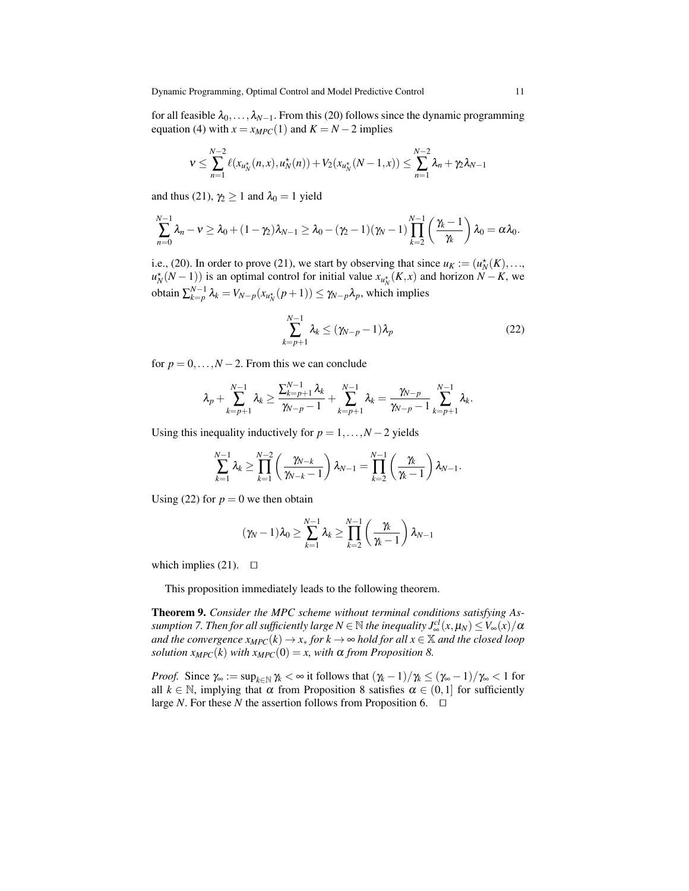Dynamic Programming, Optimal Control and Model Predictive Control 11

for all feasible  $\lambda_0, \ldots, \lambda_{N-1}$ . From this (20) follows since the dynamic programming equation (4) with  $x = x_{MPC}(1)$  and  $K = N - 2$  implies

$$
v \leq \sum_{n=1}^{N-2} \ell(x_{u_N^*}(n, x), u_N^*(n)) + V_2(x_{u_N^*}(N-1, x)) \leq \sum_{n=1}^{N-2} \lambda_n + \gamma_2 \lambda_{N-1}
$$

and thus (21),  $\gamma_2 \ge 1$  and  $\lambda_0 = 1$  yield

$$
\sum_{n=0}^{N-1} \lambda_n - \nu \geq \lambda_0 + (1 - \gamma_2)\lambda_{N-1} \geq \lambda_0 - (\gamma_2 - 1)(\gamma_N - 1)\prod_{k=2}^{N-1} \left(\frac{\gamma_k - 1}{\gamma_k}\right)\lambda_0 = \alpha\lambda_0.
$$

i.e., (20). In order to prove (21), we start by observing that since  $u_K := (u_N^*(K), \ldots,$  $u_N^*(N-1)$ ) is an optimal control for initial value  $x_{u_N^*}(K,x)$  and horizon  $N-K$ , we  $\sum_{k=p}^{N-1} \lambda_k = V_{N-p}(x_{u_N^*}(p+1)) \leq \gamma_{N-p} \lambda_p$ , which implies

$$
\sum_{k=p+1}^{N-1} \lambda_k \le (\gamma_{N-p}-1)\lambda_p \tag{22}
$$

for  $p = 0, \ldots, N - 2$ . From this we can conclude

$$
\lambda_p + \sum_{k=p+1}^{N-1} \lambda_k \ge \frac{\sum_{k=p+1}^{N-1} \lambda_k}{\gamma_{N-p}-1} + \sum_{k=p+1}^{N-1} \lambda_k = \frac{\gamma_{N-p}}{\gamma_{N-p}-1} \sum_{k=p+1}^{N-1} \lambda_k.
$$

Using this inequality inductively for  $p = 1, \ldots, N-2$  yields

$$
\sum_{k=1}^{N-1} \lambda_k \ge \prod_{k=1}^{N-2} \left( \frac{\gamma_{N-k}}{\gamma_{N-k}-1} \right) \lambda_{N-1} = \prod_{k=2}^{N-1} \left( \frac{\gamma_k}{\gamma_k-1} \right) \lambda_{N-1}.
$$

Using (22) for  $p = 0$  we then obtain

$$
(\gamma_N-1)\lambda_0 \geq \sum_{k=1}^{N-1} \lambda_k \geq \prod_{k=2}^{N-1} \left(\frac{\gamma_k}{\gamma_k-1}\right) \lambda_{N-1}
$$

which implies (21).  $\Box$ 

This proposition immediately leads to the following theorem.

Theorem 9. *Consider the MPC scheme without terminal conditions satisfying As* $s$ *umption 7. Then for all sufficiently large N*  $\in$  $\mathbb N$  *<i>the inequality*  $J^{cl}_{\infty}(x,\mu_N)\leq V_{\infty}(x)/\alpha$ *and the convergence*  $x_{MPC}(k) \rightarrow x_*$  *for*  $k \rightarrow \infty$  *hold for all*  $x \in \mathbb{X}$  *and the closed loop solution*  $x_{MPC}(k)$  *with*  $x_{MPC}(0) = x$ *, with*  $\alpha$  *from Proposition* 8.

*Proof.* Since  $\gamma_{\infty} := \sup_{k \in \mathbb{N}} \gamma_k < \infty$  it follows that  $(\gamma_k - 1)/\gamma_k \leq (\gamma_{\infty} - 1)/\gamma_{\infty} < 1$  for all  $k \in \mathbb{N}$ , implying that  $\alpha$  from Proposition 8 satisfies  $\alpha \in (0,1]$  for sufficiently large *N*. For these *N* the assertion follows from Proposition 6.  $\Box$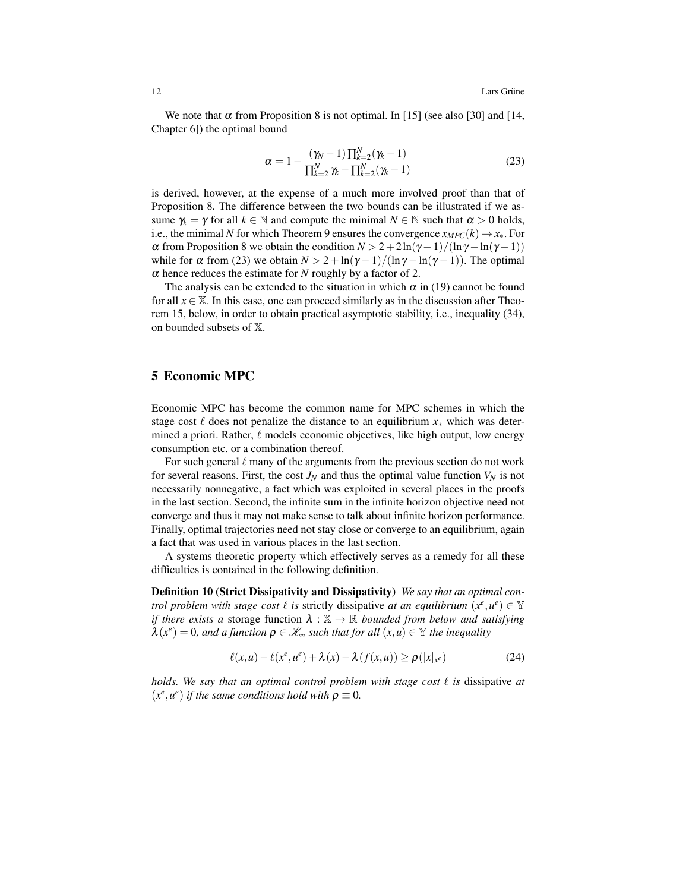We note that  $\alpha$  from Proposition 8 is not optimal. In [15] (see also [30] and [14, Chapter 6]) the optimal bound

$$
\alpha = 1 - \frac{(\gamma_N - 1) \prod_{k=2}^{N} (\gamma_k - 1)}{\prod_{k=2}^{N} \gamma_k - \prod_{k=2}^{N} (\gamma_k - 1)}
$$
(23)

is derived, however, at the expense of a much more involved proof than that of Proposition 8. The difference between the two bounds can be illustrated if we assume  $\gamma_k = \gamma$  for all  $k \in \mathbb{N}$  and compute the minimal  $N \in \mathbb{N}$  such that  $\alpha > 0$  holds, i.e., the minimal *N* for which Theorem 9 ensures the convergence  $x_{MPC}(k) \rightarrow x_*$ . For  $\alpha$  from Proposition 8 we obtain the condition  $N > 2 + 2\ln(\gamma - 1)/(\ln \gamma - \ln(\gamma - 1))$ while for  $\alpha$  from (23) we obtain  $N > 2 + \ln(\gamma - 1)/(\ln \gamma - \ln(\gamma - 1))$ . The optimal  $\alpha$  hence reduces the estimate for *N* roughly by a factor of 2.

The analysis can be extended to the situation in which  $\alpha$  in (19) cannot be found for all  $x \in \mathbb{X}$ . In this case, one can proceed similarly as in the discussion after Theorem 15, below, in order to obtain practical asymptotic stability, i.e., inequality (34), on bounded subsets of X.

#### 5 Economic MPC

Economic MPC has become the common name for MPC schemes in which the stage cost  $\ell$  does not penalize the distance to an equilibrium  $x_*$  which was determined a priori. Rather,  $\ell$  models economic objectives, like high output, low energy consumption etc. or a combination thereof.

For such general  $\ell$  many of the arguments from the previous section do not work for several reasons. First, the cost  $J_N$  and thus the optimal value function  $V_N$  is not necessarily nonnegative, a fact which was exploited in several places in the proofs in the last section. Second, the infinite sum in the infinite horizon objective need not converge and thus it may not make sense to talk about infinite horizon performance. Finally, optimal trajectories need not stay close or converge to an equilibrium, again a fact that was used in various places in the last section.

A systems theoretic property which effectively serves as a remedy for all these difficulties is contained in the following definition.

Definition 10 (Strict Dissipativity and Dissipativity) *We say that an optimal control problem with stage cost*  $\ell$  *is* strictly dissipative *at an equilibrium*  $(x^e, u^e) \in \mathbb{Y}$ *if there exists a storage function*  $\lambda : \mathbb{X} \to \mathbb{R}$  *bounded from below and satisfying*  $\lambda(x^e) = 0$ , and a function  $\rho \in \mathcal{K}_{\infty}$  such that for all  $(x, u) \in \mathbb{Y}$  the inequality

$$
\ell(x, u) - \ell(x^e, u^e) + \lambda(x) - \lambda(f(x, u)) \ge \rho(|x|_{x^e})
$$
\n(24)

*holds. We say that an optimal control problem with stage cost*  $\ell$  *is* dissipative *at*  $(x^e, u^e)$  *if the same conditions hold with*  $\rho \equiv 0$ *.*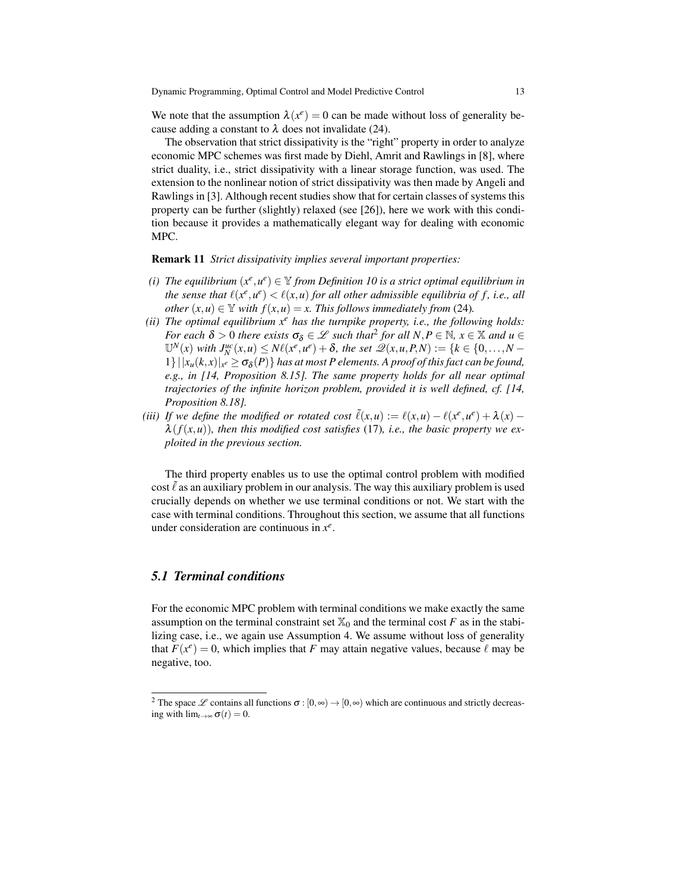We note that the assumption  $\lambda(x^e) = 0$  can be made without loss of generality because adding a constant to  $\lambda$  does not invalidate (24).

The observation that strict dissipativity is the "right" property in order to analyze economic MPC schemes was first made by Diehl, Amrit and Rawlings in [8], where strict duality, i.e., strict dissipativity with a linear storage function, was used. The extension to the nonlinear notion of strict dissipativity was then made by Angeli and Rawlings in [3]. Although recent studies show that for certain classes of systems this property can be further (slightly) relaxed (see [26]), here we work with this condition because it provides a mathematically elegant way for dealing with economic MPC.

#### Remark 11 *Strict dissipativity implies several important properties:*

- (*i*) The equilibrium  $(x^e, u^e) \in Y$  from Definition 10 is a strict optimal equilibrium in *the sense that*  $\ell(x^e, u^e) < \ell(x, u)$  for all other admissible equilibria of f, i.e., all *other*  $(x, u) \in Y$  *with*  $f(x, u) = x$ *. This follows immediately from* (24)*.*
- *(ii) The optimal equilibrium x<sup>e</sup> has the turnpike property, i.e., the following holds: For each*  $\delta > 0$  *there exists*  $\sigma_{\delta} \in \mathcal{L}$  *such that*<sup>2</sup> *for all*  $N, P \in \mathbb{N}$ *,*  $x \in \mathbb{X}$  *and*  $u \in$  $\mathbb{U}^{N}(x)$  with  $J_{N}^{uc}(x, u) \leq N\ell(x^e, u^e) + \delta$ , the set  $\mathscr{Q}(x, u, P, N) := \{k \in \{0, ..., N - 1\}$  $1\}$   $||x_u(k,x)|_{x^e} \ge \sigma_\delta(P)$ } *has at most P elements. A proof of this fact can be found, e.g., in [14, Proposition 8.15]. The same property holds for all near optimal trajectories of the infinite horizon problem, provided it is well defined, cf. [14, Proposition 8.18].*
- *(iii)* If we define the modified or rotated cost  $\tilde{\ell}(x, u) := \ell(x, u) \ell(x^e, u^e) + \lambda(x) \ell(x^e, u^e)$  $\lambda(f(x, u))$ *, then this modified cost satisfies* (17)*, i.e., the basic property we exploited in the previous section.*

The third property enables us to use the optimal control problem with modified cost  $\ell$  as an auxiliary problem in our analysis. The way this auxiliary problem is used crucially depends on whether we use terminal conditions or not. We start with the case with terminal conditions. Throughout this section, we assume that all functions under consideration are continuous in  $x^e$ .

### *5.1 Terminal conditions*

For the economic MPC problem with terminal conditions we make exactly the same assumption on the terminal constraint set  $\mathbb{X}_0$  and the terminal cost *F* as in the stabilizing case, i.e., we again use Assumption 4. We assume without loss of generality that  $F(x^e) = 0$ , which implies that *F* may attain negative values, because  $\ell$  may be negative, too.

<sup>&</sup>lt;sup>2</sup> The space L contains all functions  $\sigma$  :  $[0, \infty) \rightarrow [0, \infty)$  which are continuous and strictly decreasing with  $\lim_{t\to\infty} \sigma(t) = 0$ .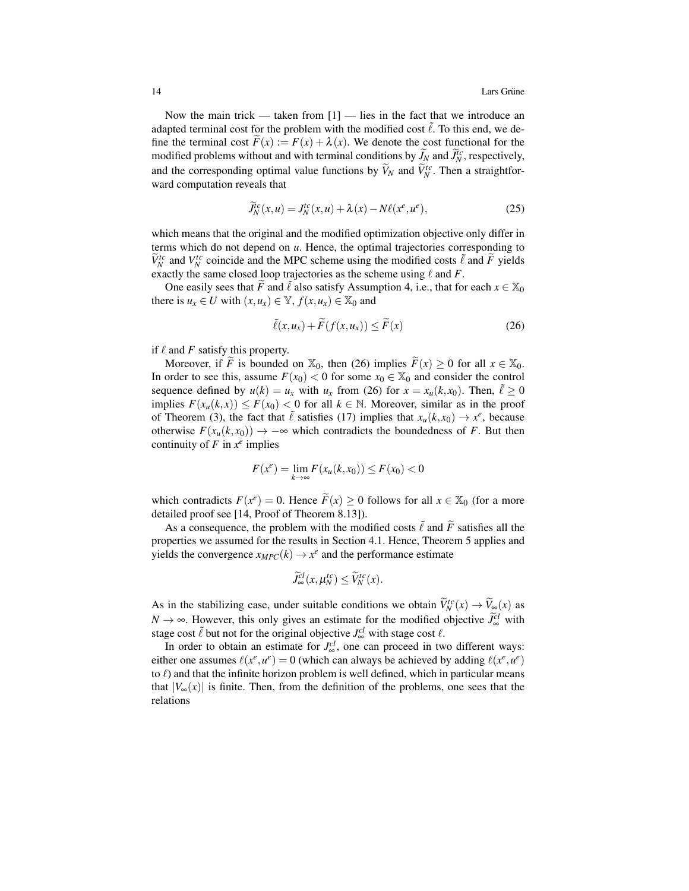Now the main trick — taken from  $[1]$  — lies in the fact that we introduce an adapted terminal cost for the problem with the modified cost  $\tilde{\ell}$ . To this end, we define the terminal cost  $F(x) := F(x) + \lambda(x)$ . We denote the cost functional for the modified problems without and with terminal conditions by  $\widetilde{J}_N$  and  $\widetilde{J}_N^c$ , respectively, and the corresponding optimal value functions by  $\widetilde{V}_N$  and  $\widetilde{V}_N^{tc}$ . Then a straightforward computation reveals that

$$
\widetilde{J}_N^c(x, u) = J_N^t(x, u) + \lambda(x) - N\ell(x^e, u^e),\tag{25}
$$

which means that the original and the modified optimization objective only differ in terms which do not depend on *u*. Hence, the optimal trajectories corresponding to  $\widetilde{V}_N^{tc}$  and  $V_N^{tc}$  coincide and the MPC scheme using the modified costs  $\widetilde{\ell}$  and  $\widetilde{F}$  yields exactly the same closed loop trajectories as the scheme using  $\ell$  and  $F$ .

One easily sees that *F* and  $\tilde{l}$  also satisfy Assumption 4, i.e., that for each  $x \in \mathbb{X}_0$ there is  $u_x \in U$  with  $(x, u_x) \in \mathbb{Y}$ ,  $f(x, u_x) \in \mathbb{X}_0$  and

$$
\tilde{\ell}(x, u_x) + \tilde{F}(f(x, u_x)) \le \tilde{F}(x)
$$
\n(26)

if  $\ell$  and  $F$  satisfy this property.

Moreover, if  $\widetilde{F}$  is bounded on  $\mathbb{X}_0$ , then (26) implies  $\widetilde{F}(x) \ge 0$  for all  $x \in \mathbb{X}_0$ . In order to see this, assume  $F(x_0) < 0$  for some  $x_0 \in \mathbb{X}_0$  and consider the control sequence defined by  $u(k) = u_x$  with  $u_x$  from (26) for  $x = x_u(k, x_0)$ . Then,  $\tilde{\ell} \ge 0$ implies  $F(x_u(k, x)) \leq F(x_0) < 0$  for all  $k \in \mathbb{N}$ . Moreover, similar as in the proof of Theorem (3), the fact that  $\tilde{\ell}$  satisfies (17) implies that  $x_u(k, x_0) \to x^e$ , because otherwise  $F(x_u(k, x_0))$  → −∞ which contradicts the boundedness of *F*. But then continuity of  $F$  in  $x^e$  implies

$$
F(x^{e}) = \lim_{k \to \infty} F(x_{u}(k, x_{0})) \le F(x_{0}) < 0
$$

which contradicts  $F(x^e) = 0$ . Hence  $\widetilde{F}(x) \ge 0$  follows for all  $x \in \mathbb{X}_0$  (for a more detailed proof see [14, Proof of Theorem 8.13]).

As a consequence, the problem with the modified costs  $\tilde{\ell}$  and  $\tilde{F}$  satisfies all the properties we assumed for the results in Section 4.1. Hence, Theorem 5 applies and yields the convergence  $x_{MPC}(k) \rightarrow x^e$  and the performance estimate

$$
\widetilde{J}_{\infty}^{cl}(x,\mu_N^{tc}) \leq \widetilde{V}_N^{tc}(x).
$$

As in the stabilizing case, under suitable conditions we obtain  $\widetilde{V}_N^{tc}(x) \to \widetilde{V}_\infty(x)$  as  $N \to \infty$ . However, this only gives an estimate for the modified objective  $\widetilde{J}_{\infty}^{cl}$  with stage cost  $\tilde{\ell}$  but not for the original objective  $J_{\infty}^{cl}$  with stage cost  $\ell$ .

In order to obtain an estimate for  $J^{cl}_{\infty}$ , one can proceed in two different ways: either one assumes  $\ell(x^e, u^e) = 0$  (which can always be achieved by adding  $\ell(x^e, u^e)$ to  $\ell$ ) and that the infinite horizon problem is well defined, which in particular means that  $|V_\infty(x)|$  is finite. Then, from the definition of the problems, one sees that the relations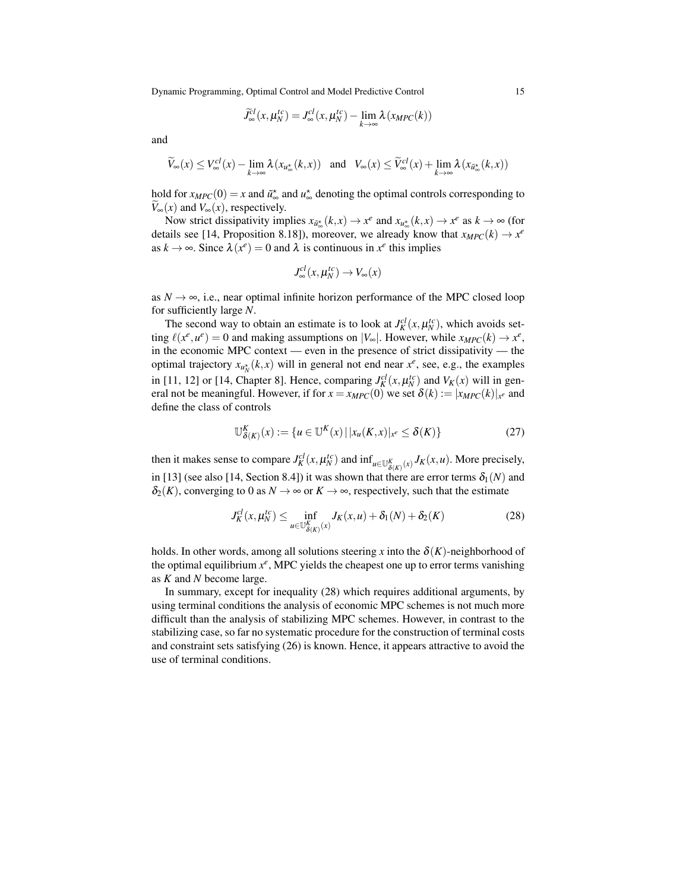Dynamic Programming, Optimal Control and Model Predictive Control 15

$$
\widetilde{J}_{\infty}^{cl}(x,\mu_N^{tc})=J_{\infty}^{cl}(x,\mu_N^{tc})-\lim_{k\to\infty}\lambda(x_{MPC}(k))
$$

and

$$
\widetilde{V}_{\infty}(x) \le V_{\infty}^{cl}(x) - \lim_{k \to \infty} \lambda(x_{u_{\infty}^*}(k, x)) \quad \text{and} \quad V_{\infty}(x) \le \widetilde{V}_{\infty}^{cl}(x) + \lim_{k \to \infty} \lambda(x_{\widetilde{u}_{\infty}^*}(k, x))
$$

hold for  $x_{MPC}(0) = x$  and  $\tilde{u}_{\infty}^*$  and  $u_{\infty}^*$  denoting the optimal controls corresponding to  $V_{\infty}(x)$  and  $V_{\infty}(x)$ , respectively.

Now strict dissipativity implies  $x_{\tilde{u}^*_{\infty}}(k, x) \to x^e$  and  $x_{u^*_{\infty}}(k, x) \to x^e$  as  $k \to \infty$  (for details see [14, Proposition 8.18]), moreover, we already know that  $x_{MPC}(k) \rightarrow x^e$ as  $k \to \infty$ . Since  $\lambda(x^e) = 0$  and  $\lambda$  is continuous in  $x^e$  this implies

$$
J^{cl}_{\infty}(x, \mu^{tc}_N) \to V_{\infty}(x)
$$

as  $N \rightarrow \infty$ , i.e., near optimal infinite horizon performance of the MPC closed loop for sufficiently large *N*.

The second way to obtain an estimate is to look at  $J_K^{cl}(x, \mu_N^{tc})$ , which avoids set- $\lim_{k \to \infty} \ell(x^e, u^e) = 0$  and making assumptions on  $|V_\infty|$ . However, while  $x_{MPC}(k) \to x^e$ , in the economic MPC context — even in the presence of strict dissipativity — the optimal trajectory  $x_{u_N^*}(k, x)$  will in general not end near  $x^e$ , see, e.g., the examples in [11, 12] or [14, Chapter 8]. Hence, comparing  $J_K^{cl}(x, \mu_N^{tc})$  and  $V_K(x)$  will in general not be meaningful. However, if for  $x = x_{MPC}(0)$  we set  $\delta(k) := |x_{MPC}(k)|_{x^e}$  and define the class of controls

$$
\mathbb{U}_{\delta(K)}^K(x) := \{ u \in \mathbb{U}^K(x) \, | \, |x_u(K,x)|_{x^e} \le \delta(K) \} \tag{27}
$$

then it makes sense to compare  $J_K^{cl}(x, \mu_N^{tc})$  and  $\inf_{u \in \mathbb{U}_{\delta(K)}^K(x)} J_K(x, u)$ . More precisely, in [13] (see also [14, Section 8.4]) it was shown that there are error terms  $\delta_1(N)$  and  $\delta_2(K)$ , converging to 0 as  $N \to \infty$  or  $K \to \infty$ , respectively, such that the estimate

$$
J_K^{cl}(x, \mu_N^{lc}) \le \inf_{u \in \mathbb{U}_{\delta(K)}^K}(J_K(x, u) + \delta_1(N) + \delta_2(K) \tag{28}
$$

holds. In other words, among all solutions steering *x* into the  $\delta(K)$ -neighborhood of the optimal equilibrium  $x^e$ , MPC yields the cheapest one up to error terms vanishing as *K* and *N* become large.

In summary, except for inequality (28) which requires additional arguments, by using terminal conditions the analysis of economic MPC schemes is not much more difficult than the analysis of stabilizing MPC schemes. However, in contrast to the stabilizing case, so far no systematic procedure for the construction of terminal costs and constraint sets satisfying (26) is known. Hence, it appears attractive to avoid the use of terminal conditions.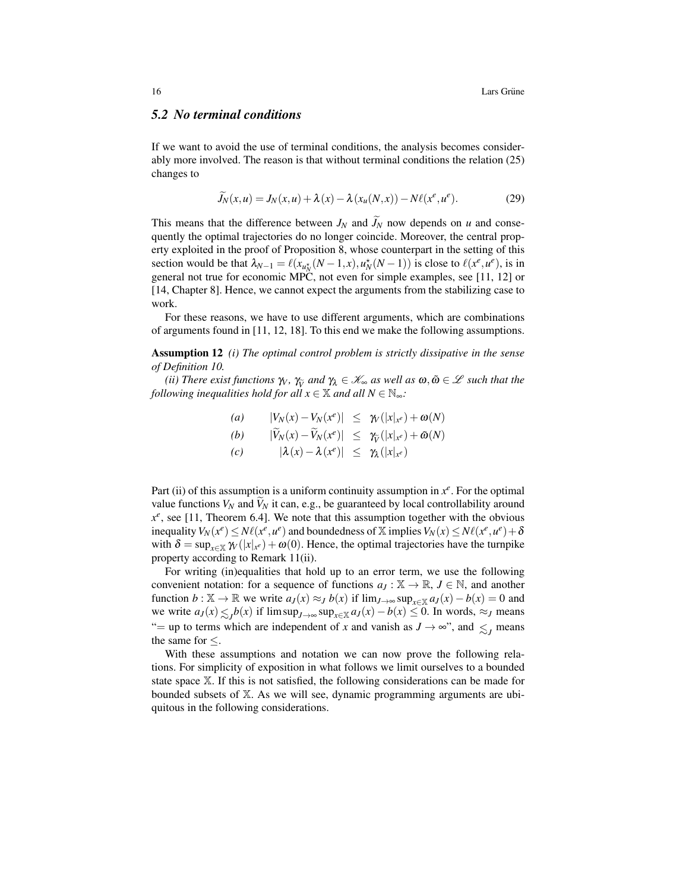#### *5.2 No terminal conditions*

If we want to avoid the use of terminal conditions, the analysis becomes considerably more involved. The reason is that without terminal conditions the relation (25) changes to

$$
\widetilde{J}_N(x, u) = J_N(x, u) + \lambda(x) - \lambda(x_u(N, x)) - N\ell(x^e, u^e).
$$
 (29)

This means that the difference between  $J_N$  and  $\widetilde{J}_N$  now depends on *u* and consequently the optimal trajectories do no longer coincide. Moreover, the central property exploited in the proof of Proposition 8, whose counterpart in the setting of this section would be that  $\lambda_{N-1} = \ell(x_{u_N^*}(N-1, x), u_N^*(N-1))$  is close to  $\ell(x^e, u^e)$ , is in general not true for economic MPC, not even for simple examples, see [11, 12] or [14, Chapter 8]. Hence, we cannot expect the arguments from the stabilizing case to work.

For these reasons, we have to use different arguments, which are combinations of arguments found in [11, 12, 18]. To this end we make the following assumptions.

Assumption 12 *(i) The optimal control problem is strictly dissipative in the sense of Definition 10.*

*(ii)* There exist functions  $\gamma_V$ ,  $\gamma_V$  and  $\gamma_\lambda \in \mathcal{K}_\infty$  as well as  $\omega, \tilde{\omega} \in \mathcal{L}$  such that the lowing inequalities hold for all  $x \in \mathbb{X}$  and all  $N \in \mathbb{N}$ . *following inequalities hold for all*  $x \in \mathbb{X}$  *and all*  $N \in \mathbb{N}^{\infty}$ *:* 

(a) 
$$
|V_N(x) - V_N(x^e)| \leq \gamma_V(|x|_{x^e}) + \omega(N)
$$
  
\n(b)  $|\widetilde{V}_N(x) - \widetilde{V}_N(x^e)| \leq \gamma_{\widetilde{V}}(|x|_{x^e}) + \widetilde{\omega}(N)$   
\n(c)  $|\lambda(x) - \lambda(x^e)| \leq \gamma_{\lambda}(|x|_{x^e})$ 

Part (ii) of this assumption is a uniform continuity assumption in  $x^e$ . For the optimal value functions  $V_N$  and  $\bar{V}_N$  it can, e.g., be guaranteed by local controllability around  $x^e$ , see [11, Theorem 6.4]. We note that this assumption together with the obvious inequality  $V_N(x^e) \leq N\ell(x^e, u^e)$  and boundedness of  $\overline{X}$  implies  $V_N(x) \leq N\ell(x^e, u^e) + \delta$ with  $\delta = \sup_{x \in \mathbb{X}} \mathcal{W}(|x|_{x^e}) + \omega(0)$ . Hence, the optimal trajectories have the turnpike property according to Remark 11(ii).

For writing (in)equalities that hold up to an error term, we use the following convenient notation: for a sequence of functions  $a_J : \mathbb{X} \to \mathbb{R}, J \in \mathbb{N}$ , and another function  $b: \mathbb{X} \to \mathbb{R}$  we write  $a_J(x) \approx_J b(x)$  if  $\lim_{J \to \infty} \sup_{x \in \mathbb{X}} a_J(x) - b(x) = 0$  and we write  $a_J(x) \leq Jb(x)$  if  $\limsup_{J \to \infty} \sup_{x \in \mathbb{X}} a_J(x) - b(x) \leq 0$ . In words,  $\approx_J$  means "= up to terms which are independent of *x* and vanish as  $J \rightarrow \infty$ ", and  $\leq_J$  means the same for  $\leq$ .

With these assumptions and notation we can now prove the following relations. For simplicity of exposition in what follows we limit ourselves to a bounded state space X. If this is not satisfied, the following considerations can be made for bounded subsets of X. As we will see, dynamic programming arguments are ubiquitous in the following considerations.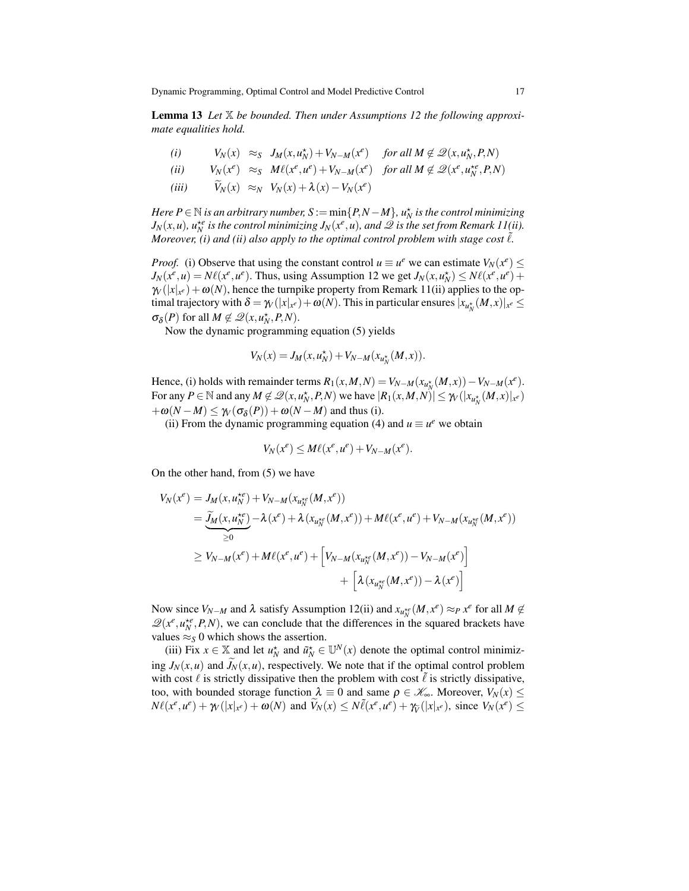Lemma 13 *Let* X *be bounded. Then under Assumptions 12 the following approximate equalities hold.*

(i) 
$$
V_N(x) \approx_S J_M(x, u_N^*) + V_{N-M}(x^e)
$$
 for all  $M \notin \mathcal{Q}(x, u_N^*, P, N)$   
\n(ii)  $V_N(x^e) \approx_S M\ell(x^e, u^e) + V_{N-M}(x^e)$  for all  $M \notin \mathcal{Q}(x^e, u_N^{*e}, P, N)$ 

$$
(iii) \qquad \widetilde{V}_N(x) \approx_N V_N(x) + \lambda(x) - V_N(x^e)
$$

*Here P* ∈  $\mathbb N$  *is an arbitrary number, S* :=  $\min\{P, N-M\}$ *,*  $u_N^{\star}$  *is the control minimizing*  $J_N(x, u)$ *,*  $u_N^{*e}$  *is the control minimizing*  $J_N(x^e, u)$ *<i>, and*  $\mathscr Q$  *is the set from Remark 11(ii). Moreover, (i) and (ii) also apply to the optimal control problem with stage cost*  $\ell$ *.* 

*Proof.* (i) Observe that using the constant control  $u \equiv u^e$  we can estimate  $V_N(x^e) \leq$  $J_N(x^e, u) = N\ell(x^e, u^e)$ . Thus, using Assumption 12 we get  $J_N(x, u_N^*) \leq N\ell(x^e, u^e) +$  $\mathcal{W}(x|x) + \omega(N)$ , hence the turnpike property from Remark 11(ii) applies to the optimal trajectory with  $\delta = \gamma_V(|x|_{x^e}) + \omega(N)$ . This in particular ensures  $|x_{u_N^{\star}}(M,x)|_{x^e} \le$  $\sigma_{\delta}(P)$  for all  $M \notin \mathcal{Q}(x, u_N^*, P, N)$ .

Now the dynamic programming equation (5) yields

$$
V_N(x) = J_M(x, u_N^*) + V_{N-M}(x_{u_N^*}(M, x)).
$$

Hence, (i) holds with remainder terms  $R_1(x, M, N) = V_{N-M}(x_{u_N^*}(M, x)) - V_{N-M}(x^e)$ . For any  $P \in \mathbb{N}$  and any  $M \notin \mathcal{Q}(x, u_N^*, P, N)$  we have  $|R_1(x, M, N)| \leq \gamma_V(|x_{u_N^*}(M, x)|_{x^c})$  $+\omega(N-M) \leq \gamma_V(\sigma_\delta(P)) + \omega(N-M)$  and thus (i).

(ii) From the dynamic programming equation (4) and  $u \equiv u^e$  we obtain

$$
V_N(x^e) \le M\ell(x^e, u^e) + V_{N-M}(x^e).
$$

On the other hand, from (5) we have

$$
V_N(x^e) = J_M(x, u_N^{*e}) + V_{N-M}(x_{u_N^{*e}}(M, x^e))
$$
  
= 
$$
\underbrace{\widetilde{J}_M(x, u_N^{*e})}_{\geq 0} - \lambda(x^e) + \lambda(x_{u_N^{*e}}(M, x^e)) + M\ell(x^e, u^e) + V_{N-M}(x_{u_N^{*e}}(M, x^e))
$$
  

$$
\geq V_{N-M}(x^e) + M\ell(x^e, u^e) + \left[V_{N-M}(x_{u_N^{*e}}(M, x^e)) - V_{N-M}(x^e)\right]
$$
  
+ 
$$
\left[\lambda(x_{u_N^{*e}}(M, x^e)) - \lambda(x^e)\right]
$$

Now since  $V_{N-M}$  and  $\lambda$  satisfy Assumption 12(ii) and  $x_{u_N^{+e}}(M, x^e) \approx_P x^e$  for all  $M \notin$  $\mathcal{Q}(x^e, u_N^{*e}, P, N)$ , we can conclude that the differences in the squared brackets have values  $\approx$ <sub>*S*</sub> 0 which shows the assertion.

(iii) Fix  $x \in \mathbb{X}$  and let  $u_N^*$  and  $\tilde{u}_N^* \in \mathbb{U}^N(x)$  denote the optimal control minimizing  $J_N(x, u)$  and  $\widetilde{J}_N(x, u)$ , respectively. We note that if the optimal control problem with cost  $\ell$  is strictly dissipative then the problem with cost  $\ell$  is strictly dissipative, too, with bounded storage function  $\lambda \equiv 0$  and same  $\rho \in \mathcal{K}_{\infty}$ . Moreover,  $V_N(x) \leq$  $N\ell(x^e, u^e) + \gamma_V(|x|_{x^e}) + \omega(N)$  and  $\widetilde{V}_N(x) \leq N\widetilde{\ell}(x^e, u^e) + \gamma_{\widetilde{V}}(|x|_{x^e}),$  since  $V_N(x^e) \leq$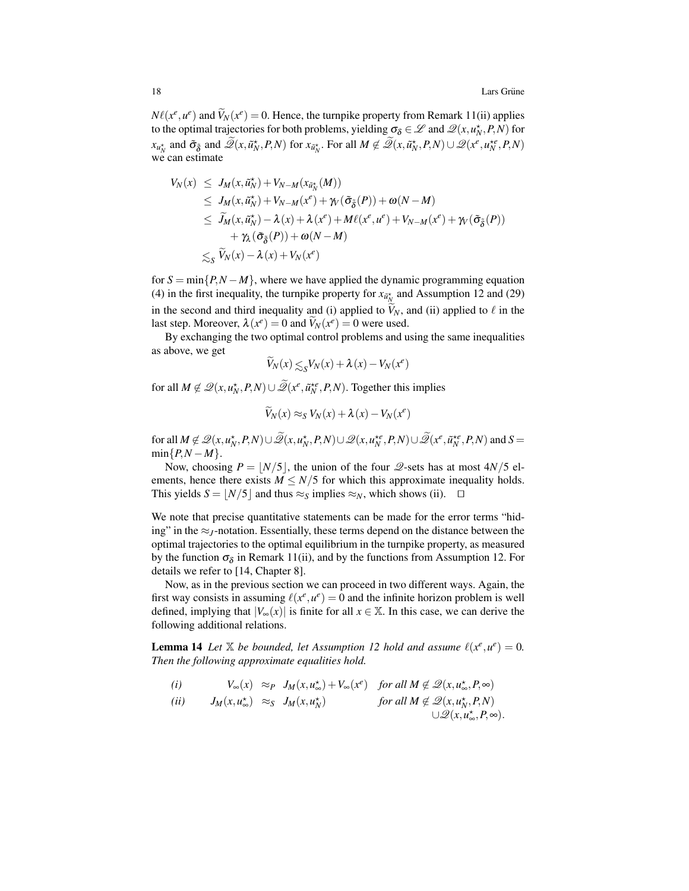$N\ell(x^e, u^e)$  and  $\tilde{V}_N(x^e) = 0$ . Hence, the turnpike property from Remark 11(ii) applies to the optimal trajectories for both problems, yielding  $\sigma_{\delta} \in \mathcal{L}$  and  $\mathcal{Q}(x, u_N^{\star}, P, N)$  for  $x_{u_N^*}$  and  $\tilde{\sigma}_{\tilde{\delta}}$  and  $\tilde{\mathscr{Q}}(x, \tilde{u}_N^*, P, N)$  for  $x_{\tilde{u}_N^*}$ . For all  $M \notin \tilde{\mathscr{Q}}(x, \tilde{u}_N^*, P, N) \cup \mathscr{Q}(x^e, u_N^{*e}, P, N)$ we can estimate

$$
V_N(x) \leq J_M(x, \tilde{u}_N^*) + V_{N-M}(x_{\tilde{u}_N^*}(M))
$$
  
\n
$$
\leq J_M(x, \tilde{u}_N^*) + V_{N-M}(x^e) + \gamma_V(\tilde{\sigma}_{\tilde{\delta}}(P)) + \omega(N-M)
$$
  
\n
$$
\leq \tilde{J}_M(x, \tilde{u}_N^*) - \lambda(x) + \lambda(x^e) + M\ell(x^e, u^e) + V_{N-M}(x^e) + \gamma_V(\tilde{\sigma}_{\tilde{\delta}}(P))
$$
  
\n
$$
+ \gamma_\lambda(\tilde{\sigma}_{\tilde{\delta}}(P)) + \omega(N-M)
$$
  
\n
$$
\lesssim_S \tilde{V}_N(x) - \lambda(x) + V_N(x^e)
$$

for  $S = min\{P, N - M\}$ , where we have applied the dynamic programming equation (4) in the first inequality, the turnpike property for  $x_{\tilde{u}_N^*}$  and Assumption 12 and (29) in the second and third inequality and (i) applied to  $\bar{V}_N$ , and (ii) applied to  $\ell$  in the last step. Moreover,  $\lambda(x^e) = 0$  and  $\widetilde{V}_N(x^e) = 0$  were used.

By exchanging the two optimal control problems and using the same inequalities as above, we get

$$
\widetilde{V}_N(x) \lesssim_S V_N(x) + \lambda(x) - V_N(x^e)
$$

for all  $M \notin \mathcal{Q}(x, u_N^*, P, N) \cup \widetilde{\mathcal{Q}}(x^e, \tilde{u}_N^{*e}, P, N)$ . Together this implies

$$
\widetilde{V}_N(x) \approx_S V_N(x) + \lambda(x) - V_N(x^e)
$$

for all  $M \notin \mathscr{Q}(x, u_N^*, P, N) \cup \widetilde{\mathscr{Q}}(x, u_N^*, P, N) \cup \mathscr{Q}(x, u_N^{*e}, P, N) \cup \widetilde{\mathscr{Q}}(x^e, \tilde{u}_N^{*e}, P, N)$  and  $S =$  $min\{P,N-M\}.$ 

Now, choosing  $P = |N/5|$ , the union of the four  $\mathcal{Q}$ -sets has at most  $4N/5$  elements, hence there exists  $M \leq N/5$  for which this approximate inequality holds. This yields  $S = \lfloor N/5 \rfloor$  and thus  $\approx_S$  implies  $\approx_N$ , which shows (ii).  $\square$ 

We note that precise quantitative statements can be made for the error terms "hiding" in the  $\approx$ <sub>*J*</sub>-notation. Essentially, these terms depend on the distance between the optimal trajectories to the optimal equilibrium in the turnpike property, as measured by the function  $\sigma_{\delta}$  in Remark 11(ii), and by the functions from Assumption 12. For details we refer to [14, Chapter 8].

Now, as in the previous section we can proceed in two different ways. Again, the first way consists in assuming  $\ell(x^e, u^e) = 0$  and the infinite horizon problem is well defined, implying that  $|V_\infty(x)|$  is finite for all  $x \in \mathbb{X}$ . In this case, we can derive the following additional relations.

**Lemma 14** Let  $X$  be bounded, let Assumption 12 hold and assume  $\ell(x^e, u^e) = 0$ . *Then the following approximate equalities hold.*

(i) 
$$
V_{\infty}(x) \approx_P J_M(x, u_{\infty}^*) + V_{\infty}(x^e)
$$
 for all  $M \notin \mathcal{Q}(x, u_{\infty}^*, P, \infty)$   
\n(ii)  $J_M(x, u_{\infty}^*) \approx_S J_M(x, u_N^*)$  for all  $M \notin \mathcal{Q}(x, u_N^*, P, N)$   
\n $\bigcup \mathcal{Q}(x, u_{\infty}^*, P, \infty)$ .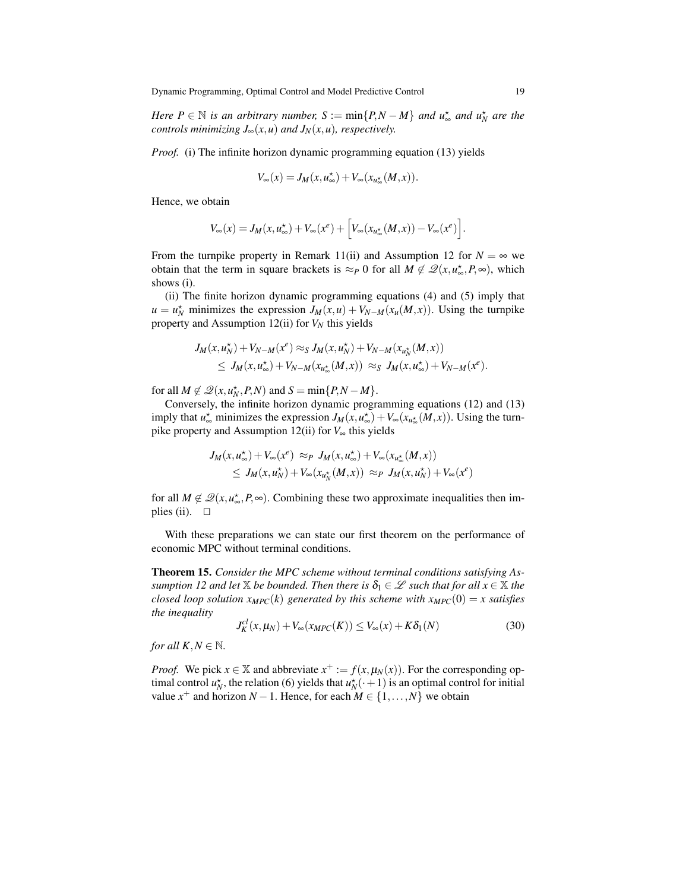*Here*  $P \in \mathbb{N}$  *is an arbitrary number,*  $S := \min\{P, N - M\}$  *and*  $u_{\infty}^{\star}$  *and*  $u_{N}^{\star}$  *are the controls minimizing*  $J_{\infty}(x, u)$  *and*  $J_N(x, u)$ *, respectively.* 

*Proof.* (i) The infinite horizon dynamic programming equation (13) yields

$$
V_\infty(x)=J_M(x,u_\infty^\star)+V_\infty(x_{u_\infty^\star}(M,x)).
$$

Hence, we obtain

$$
V_{\infty}(x) = J_M(x, u_{\infty}^*) + V_{\infty}(x^e) + \left[V_{\infty}(x_{u_{\infty}^*}(M, x)) - V_{\infty}(x^e)\right].
$$

From the turnpike property in Remark 11(ii) and Assumption 12 for  $N = \infty$  we obtain that the term in square brackets is  $\approx_P 0$  for all  $M \notin \mathscr{Q}(x, u^*_{\infty}, P, \infty)$ , which shows (i).

(ii) The finite horizon dynamic programming equations (4) and (5) imply that  $u = u_N^*$  minimizes the expression  $J_M(x, u) + V_{N-M}(x_u(M, x))$ . Using the turnpike property and Assumption 12(ii) for  $V_N$  this yields

$$
J_M(x, u_N^*) + V_{N-M}(x^e) \approx_S J_M(x, u_N^*) + V_{N-M}(x_{u_N^*}(M, x))
$$
  
\n
$$
\leq J_M(x, u_\infty^*) + V_{N-M}(x_{u_\infty^*}(M, x)) \approx_S J_M(x, u_\infty^*) + V_{N-M}(x^e).
$$

for all  $M \notin \mathcal{Q}(x, u_N^{\star}, P, N)$  and  $S = \min\{P, N - M\}.$ 

Conversely, the infinite horizon dynamic programming equations (12) and (13) imply that  $u^*_{\infty}$  minimizes the expression  $J_M(x, u^*_{\infty}) + V_{\infty}(x_{u^*_{\infty}}(M, x))$ . Using the turnpike property and Assumption 12(ii) for *V*<sup>∞</sup> this yields

$$
\begin{aligned} J_M(x,u_\infty^\star) + V_\infty(x^e) &\approx_P J_M(x,u_\infty^\star) + V_\infty(x_{u_\infty^\star}(M,x)) \\ &\leq J_M(x,u_N^\star) + V_\infty(x_{u_N^\star}(M,x)) \approx_P J_M(x,u_N^\star) + V_\infty(x^e) \end{aligned}
$$

for all  $M \notin \mathcal{Q}(x, u^*_{\infty}, P, \infty)$ . Combining these two approximate inequalities then implies (ii).  $\Box$ 

With these preparations we can state our first theorem on the performance of economic MPC without terminal conditions.

Theorem 15. *Consider the MPC scheme without terminal conditions satisfying Assumption 12 and let*  $X$  *be bounded. Then there is*  $\delta_1 \in \mathcal{L}$  *such that for all*  $x \in X$  *the closed loop solution*  $x_{MPC}(k)$  generated by this scheme with  $x_{MPC}(0) = x$  satisfies *the inequality*

$$
J_K^{cl}(x,\mu_N) + V_{\infty}(x_{MPC}(K)) \le V_{\infty}(x) + K\delta_1(N)
$$
\n(30)

*for all*  $K, N \in \mathbb{N}$ *.* 

*Proof.* We pick  $x \in \mathbb{X}$  and abbreviate  $x^+ := f(x, \mu_N(x))$ . For the corresponding optimal control  $u_N^*$ , the relation (6) yields that  $u_N^*(\cdot+1)$  is an optimal control for initial value  $x^+$  and horizon  $N-1$ . Hence, for each  $M \in \{1, ..., N\}$  we obtain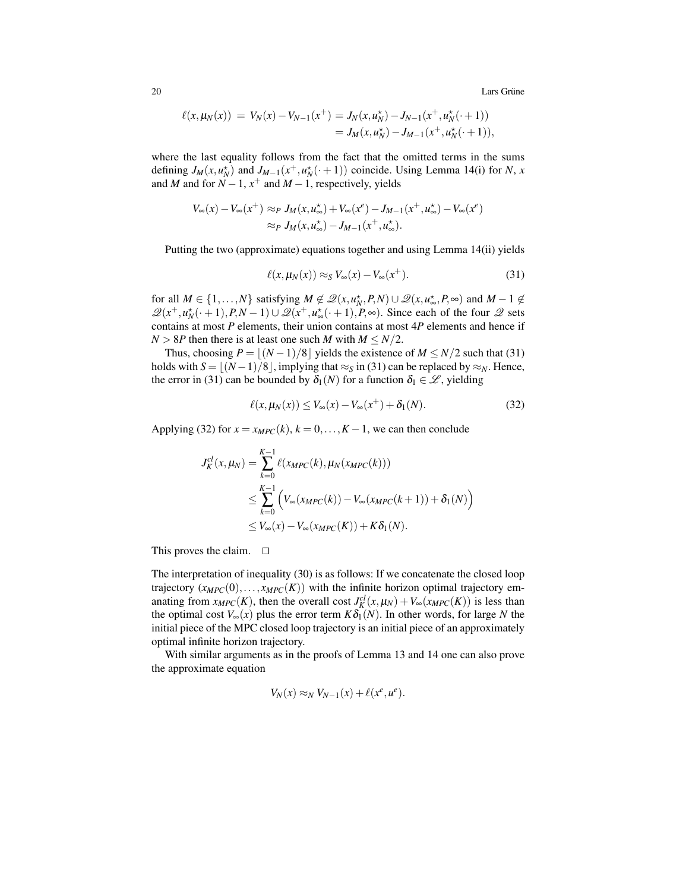20 Lars Grüne metal in the set of the set of the set of the set of the set of the set of the set of the set of the set of the set of the set of the set of the set of the set of the set of the set of the set of the set of t

$$
\ell(x, \mu_N(x)) = V_N(x) - V_{N-1}(x^+) = J_N(x, u_N^+) - J_{N-1}(x^+, u_N^+(\cdot + 1))
$$
  
=  $J_M(x, u_N^+) - J_{M-1}(x^+, u_N^+(\cdot + 1)),$ 

where the last equality follows from the fact that the omitted terms in the sums defining  $J_M(x, u_N^*)$  and  $J_{M-1}(x^+, u_N^*(*, 1))$  coincide. Using Lemma 14(i) for *N*, *x* and *M* and for  $N-1$ ,  $x^+$  and  $M-1$ , respectively, yields

$$
V_{\infty}(x) - V_{\infty}(x^{+}) \approx_{P} J_{M}(x, u_{\infty}^{\star}) + V_{\infty}(x^{\ell}) - J_{M-1}(x^{+}, u_{\infty}^{\star}) - V_{\infty}(x^{\ell})
$$
  

$$
\approx_{P} J_{M}(x, u_{\infty}^{\star}) - J_{M-1}(x^{+}, u_{\infty}^{\star}).
$$

Putting the two (approximate) equations together and using Lemma 14(ii) yields

$$
\ell(x, \mu_N(x)) \approx_S V_\infty(x) - V_\infty(x^+). \tag{31}
$$

for all  $M \in \{1, ..., N\}$  satisfying  $M \notin \mathcal{Q}(x, u_N^*, P, N) \cup \mathcal{Q}(x, u_\infty^*, P, \infty)$  and  $M - 1 \notin$  $\mathscr{Q}(x^+, u_N^*(\cdot + 1), P, N - 1) \cup \mathscr{Q}(x^+, u_\infty^*(\cdot + 1), P, \infty)$ . Since each of the four  $\mathscr{Q}$  sets contains at most *P* elements, their union contains at most 4*P* elements and hence if  $N > 8P$  then there is at least one such *M* with  $M \le N/2$ .

Thus, choosing  $P = |(N-1)/8|$  yields the existence of  $M \le N/2$  such that (31) holds with  $S = |(N-1)/8|$ , implying that ≈*S* in (31) can be replaced by ≈*N*. Hence, the error in (31) can be bounded by  $\delta_1(N)$  for a function  $\delta_1 \in \mathcal{L}$ , yielding

$$
\ell(x, \mu_N(x)) \le V_\infty(x) - V_\infty(x^+) + \delta_1(N). \tag{32}
$$

Applying (32) for  $x = x_{MPC}(k)$ ,  $k = 0, \ldots, K - 1$ , we can then conclude

$$
J_K^{cl}(x, \mu_N) = \sum_{k=0}^{K-1} \ell(x_{MPC}(k), \mu_N(x_{MPC}(k)))
$$
  
\n
$$
\leq \sum_{k=0}^{K-1} \left( V_{\infty}(x_{MPC}(k)) - V_{\infty}(x_{MPC}(k+1)) + \delta_1(N) \right)
$$
  
\n
$$
\leq V_{\infty}(x) - V_{\infty}(x_{MPC}(K)) + K\delta_1(N).
$$

This proves the claim.  $\square$ 

The interpretation of inequality (30) is as follows: If we concatenate the closed loop trajectory  $(x_{MPC}(0),...,x_{MPC}(K))$  with the infinite horizon optimal trajectory emanating from  $x_{MPC}(K)$ , then the overall cost  $J_K^{cl}(x, \mu_N) + V_\infty(x_{MPC}(K))$  is less than the optimal cost  $V_\infty(x)$  plus the error term  $K\delta_1(N)$ . In other words, for large N the initial piece of the MPC closed loop trajectory is an initial piece of an approximately optimal infinite horizon trajectory.

With similar arguments as in the proofs of Lemma 13 and 14 one can also prove the approximate equation

$$
V_N(x) \approx_N V_{N-1}(x) + \ell(x^e, u^e).
$$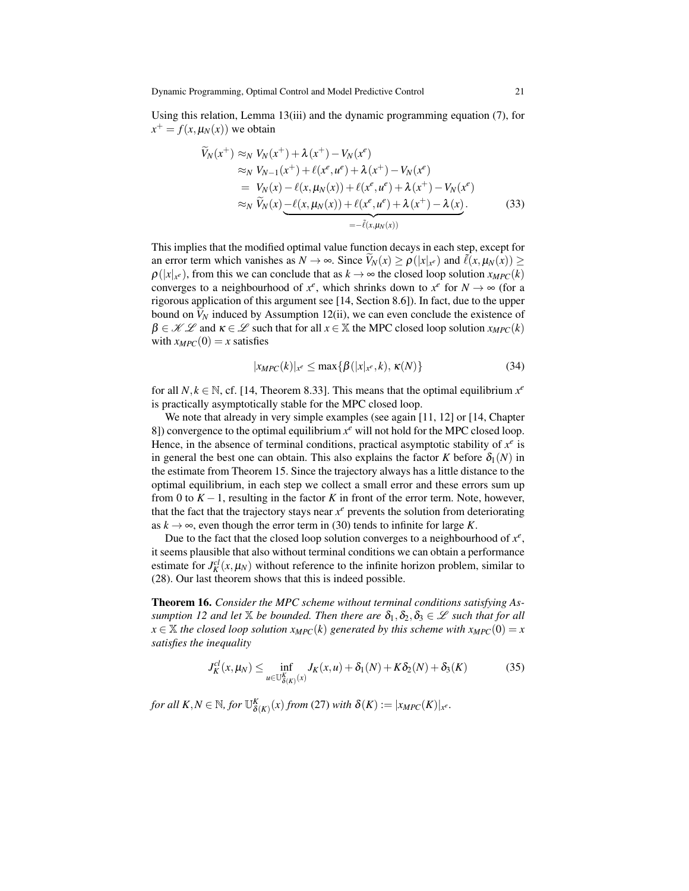Using this relation, Lemma 13(iii) and the dynamic programming equation (7), for  $x^+ = f(x, \mu_N(x))$  we obtain

$$
\widetilde{V}_N(x^+) \approx_N V_N(x^+) + \lambda (x^+) - V_N(x^e) \n\approx_N V_{N-1}(x^+) + \ell (x^e, u^e) + \lambda (x^+) - V_N(x^e) \n= V_N(x) - \ell (x, \mu_N(x)) + \ell (x^e, u^e) + \lambda (x^+) - V_N(x^e) \n\approx_N \widetilde{V}_N(x) - \ell (x, \mu_N(x)) + \ell (x^e, u^e) + \lambda (x^+) - \lambda (x).
$$
\n(33)

This implies that the modified optimal value function decays in each step, except for an error term which vanishes as  $N \to \infty$ . Since  $\widetilde{V}_N(x) \ge \rho(|x|_{x^e})$  and  $\widetilde{\ell}(x,\mu_N(x)) \ge$  $\rho(|x|_{x^e})$ , from this we can conclude that as  $k \to \infty$  the closed loop solution  $x_{MPC}(k)$ converges to a neighbourhood of  $x^e$ , which shrinks down to  $x^e$  for  $N \to \infty$  (for a rigorous application of this argument see [14, Section 8.6]). In fact, due to the upper bound on  $V_N$  induced by Assumption 12(ii), we can even conclude the existence of  $\beta \in \mathcal{KL}$  and  $\kappa \in \mathcal{L}$  such that for all  $x \in \mathbb{X}$  the MPC closed loop solution  $x_{MPC}(k)$ with  $x_{MPC}(0) = x$  satisfies

$$
|x_{MPC}(k)|_{x^e} \le \max\{\beta(|x|_{x^e},k), \kappa(N)\}\tag{34}
$$

for all  $N, k \in \mathbb{N}$ , cf. [14, Theorem 8.33]. This means that the optimal equilibrium  $x^e$ is practically asymptotically stable for the MPC closed loop.

We note that already in very simple examples (see again [11, 12] or [14, Chapter 8]) convergence to the optimal equilibrium  $x^e$  will not hold for the MPC closed loop. Hence, in the absence of terminal conditions, practical asymptotic stability of  $x^e$  is in general the best one can obtain. This also explains the factor *K* before  $\delta_1(N)$  in the estimate from Theorem 15. Since the trajectory always has a little distance to the optimal equilibrium, in each step we collect a small error and these errors sum up from 0 to  $K - 1$ , resulting in the factor K in front of the error term. Note, however, that the fact that the trajectory stays near  $x^e$  prevents the solution from deteriorating as  $k \to \infty$ , even though the error term in (30) tends to infinite for large *K*.

Due to the fact that the closed loop solution converges to a neighbourhood of  $x^e$ , it seems plausible that also without terminal conditions we can obtain a performance estimate for  $J_K^{cl}(x, \mu_N)$  without reference to the infinite horizon problem, similar to (28). Our last theorem shows that this is indeed possible.

Theorem 16. *Consider the MPC scheme without terminal conditions satisfying Assumption 12 and let*  $\mathbb{X}$  *be bounded. Then there are*  $\delta_1, \delta_2, \delta_3 \in \mathscr{L}$  *such that for all*  $x \in \mathbb{X}$  *the closed loop solution*  $x_{MPC}(k)$  *generated by this scheme with*  $x_{MPC}(0) = x$ *satisfies the inequality*

$$
J_K^{cl}(x,\mu_N) \le \inf_{u \in \mathbb{U}_{\delta(K)}^K} J_K(x,u) + \delta_1(N) + K\delta_2(N) + \delta_3(K) \tag{35}
$$

*for all*  $K, N \in \mathbb{N}$ *, for*  $\mathbb{U}_{\delta(K)}^K(x)$  *from* (27) *with*  $\delta(K) := |x_{MPC}(K)|_{x^e}$ *.*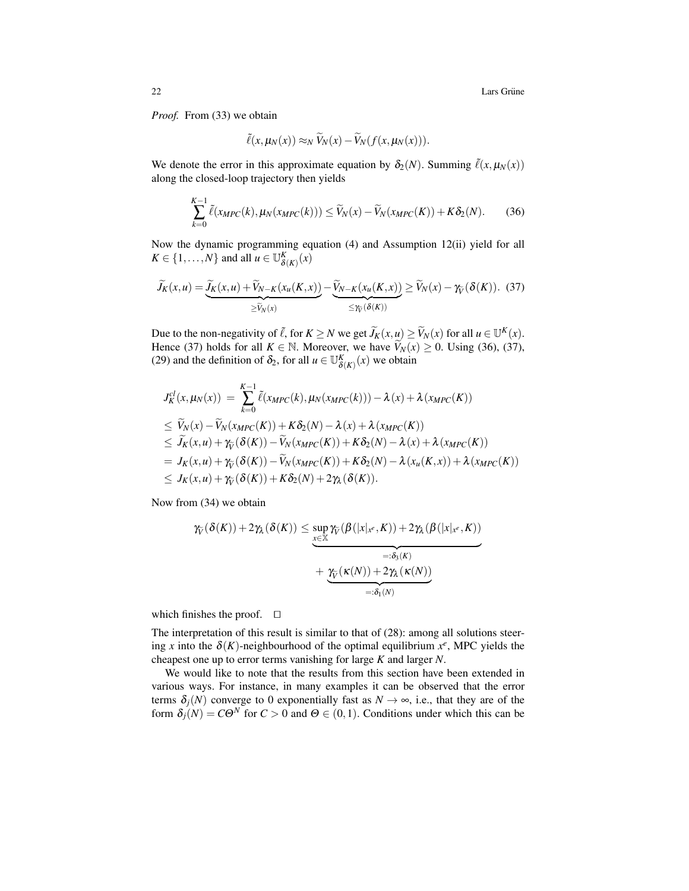22 Lars Grüne in the Lars Grüne in the Lars Grüne in the Lars Grüne in the Lars Grüne in the Lars Grüne in the Lars Grüne in the Lars Grüne in the Lars Grüne in the Lars Grüne in the Lars Grüne in the Lars Grüne in the Lar

*Proof.* From (33) we obtain

$$
\tilde{\ell}(x,\mu_N(x)) \approx_N \tilde{V}_N(x) - \tilde{V}_N(f(x,\mu_N(x))).
$$

We denote the error in this approximate equation by  $\delta_2(N)$ . Summing  $\tilde{\ell}(x,\mu_N(x))$ along the closed-loop trajectory then yields

$$
\sum_{k=0}^{K-1} \tilde{\ell}(x_{MPC}(k), \mu_N(x_{MPC}(k))) \le \widetilde{V}_N(x) - \widetilde{V}_N(x_{MPC}(K)) + K\delta_2(N). \tag{36}
$$

Now the dynamic programming equation (4) and Assumption 12(ii) yield for all  $K \in \{1, \ldots, N\}$  and all  $u \in \mathbb{U}_{\delta(K)}^K(x)$ 

$$
\widetilde{J}_K(x,u) = \underbrace{\widetilde{J}_K(x,u) + \widetilde{V}_{N-K}(x_u(K,x))}_{\geq \widetilde{V}_N(x)} - \underbrace{\widetilde{V}_{N-K}(x_u(K,x))}_{\leq \gamma_{\widetilde{V}}} \geq \widetilde{V}_N(x) - \gamma_{\widetilde{V}}(\delta(K)).
$$
 (37)

Due to the non-negativity of  $\tilde{\ell}$ , for  $K \ge N$  we get  $\tilde{J}_K(x, u) \ge \tilde{V}_N(x)$  for all  $u \in \mathbb{U}^K(x)$ . Hence (37) holds for all  $K \in \mathbb{N}$ . Moreover, we have  $\widetilde{V}_N(x) \ge 0$ . Using (36), (37), (29) and the definition of  $\delta_2$ , for all  $u \in \mathbb{U}_{\delta(K)}^K(x)$  we obtain

$$
J_K^{cl}(x, \mu_N(x)) = \sum_{k=0}^{K-1} \tilde{\ell}(x_{MPC}(k), \mu_N(x_{MPC}(k))) - \lambda(x) + \lambda(x_{MPC}(K))
$$
  
\n
$$
\leq \widetilde{V}_N(x) - \widetilde{V}_N(x_{MPC}(K)) + K\delta_2(N) - \lambda(x) + \lambda(x_{MPC}(K))
$$
  
\n
$$
\leq \widetilde{J}_K(x, u) + \gamma_{\widetilde{V}}(\delta(K)) - \widetilde{V}_N(x_{MPC}(K)) + K\delta_2(N) - \lambda(x) + \lambda(x_{MPC}(K))
$$
  
\n
$$
= J_K(x, u) + \gamma_{\widetilde{V}}(\delta(K)) - \widetilde{V}_N(x_{MPC}(K)) + K\delta_2(N) - \lambda(x_u(K, x)) + \lambda(x_{MPC}(K))
$$
  
\n
$$
\leq J_K(x, u) + \gamma_{\widetilde{V}}(\delta(K)) + K\delta_2(N) + 2\gamma_{\lambda}(\delta(K)).
$$

Now from (34) we obtain

$$
\gamma_{\widetilde{V}}(\delta(K)) + 2\gamma_{\lambda}(\delta(K)) \leq \sup_{\substack{x \in \mathbb{X} \\ \underbrace{\mathcal{X}}(\mathcal{B})}} \gamma_{\widetilde{V}}(\beta(|x|_{x^e}, K)) + 2\gamma_{\lambda}(\beta(|x|_{x^e}, K))
$$

$$
+ \underbrace{\gamma_{\widetilde{V}}(\kappa(N)) + 2\gamma_{\lambda}(\kappa(N))}_{=: \delta_1(N)}
$$

which finishes the proof.  $\square$ 

The interpretation of this result is similar to that of (28): among all solutions steering *x* into the  $\delta(K)$ -neighbourhood of the optimal equilibrium  $x^e$ , MPC yields the cheapest one up to error terms vanishing for large *K* and larger *N*.

We would like to note that the results from this section have been extended in various ways. For instance, in many examples it can be observed that the error terms  $\delta_i(N)$  converge to 0 exponentially fast as  $N \to \infty$ , i.e., that they are of the form  $\delta_i(N) = C\Theta^N$  for  $C > 0$  and  $\Theta \in (0,1)$ . Conditions under which this can be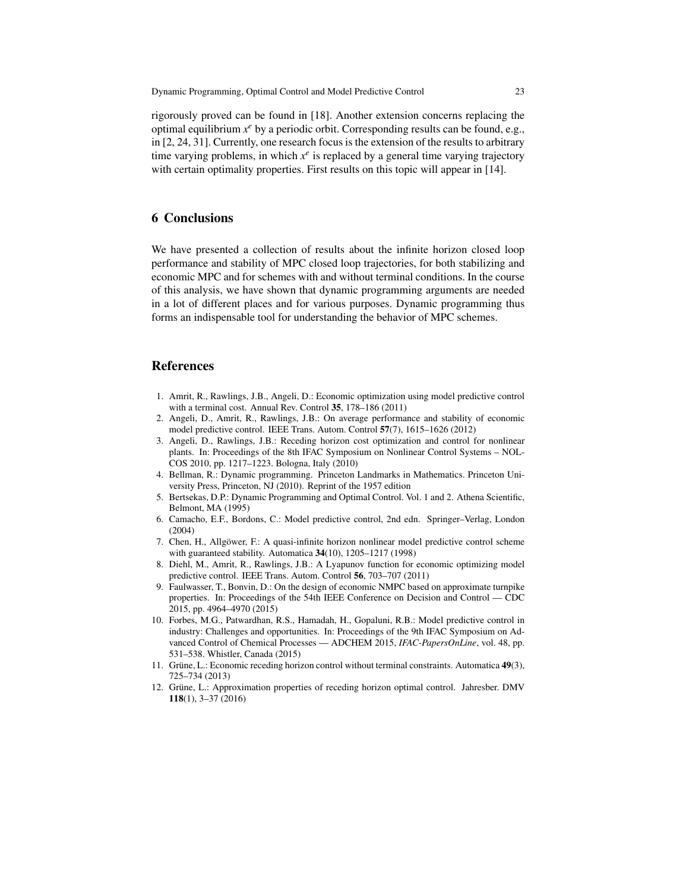rigorously proved can be found in [18]. Another extension concerns replacing the optimal equilibrium *x <sup>e</sup>* by a periodic orbit. Corresponding results can be found, e.g., in [2, 24, 31]. Currently, one research focus is the extension of the results to arbitrary time varying problems, in which  $x^e$  is replaced by a general time varying trajectory with certain optimality properties. First results on this topic will appear in [14].

## 6 Conclusions

We have presented a collection of results about the infinite horizon closed loop performance and stability of MPC closed loop trajectories, for both stabilizing and economic MPC and for schemes with and without terminal conditions. In the course of this analysis, we have shown that dynamic programming arguments are needed in a lot of different places and for various purposes. Dynamic programming thus forms an indispensable tool for understanding the behavior of MPC schemes.

#### References

- 1. Amrit, R., Rawlings, J.B., Angeli, D.: Economic optimization using model predictive control with a terminal cost. Annual Rev. Control 35, 178–186 (2011)
- 2. Angeli, D., Amrit, R., Rawlings, J.B.: On average performance and stability of economic model predictive control. IEEE Trans. Autom. Control 57(7), 1615–1626 (2012)
- 3. Angeli, D., Rawlings, J.B.: Receding horizon cost optimization and control for nonlinear plants. In: Proceedings of the 8th IFAC Symposium on Nonlinear Control Systems – NOL-COS 2010, pp. 1217–1223. Bologna, Italy (2010)
- 4. Bellman, R.: Dynamic programming. Princeton Landmarks in Mathematics. Princeton University Press, Princeton, NJ (2010). Reprint of the 1957 edition
- 5. Bertsekas, D.P.: Dynamic Programming and Optimal Control. Vol. 1 and 2. Athena Scientific, Belmont, MA (1995)
- 6. Camacho, E.F., Bordons, C.: Model predictive control, 2nd edn. Springer–Verlag, London (2004)
- 7. Chen, H., Allgöwer, F.: A quasi-infinite horizon nonlinear model predictive control scheme with guaranteed stability. Automatica 34(10), 1205–1217 (1998)
- 8. Diehl, M., Amrit, R., Rawlings, J.B.: A Lyapunov function for economic optimizing model predictive control. IEEE Trans. Autom. Control 56, 703–707 (2011)
- 9. Faulwasser, T., Bonvin, D.: On the design of economic NMPC based on approximate turnpike properties. In: Proceedings of the 54th IEEE Conference on Decision and Control — CDC 2015, pp. 4964–4970 (2015)
- 10. Forbes, M.G., Patwardhan, R.S., Hamadah, H., Gopaluni, R.B.: Model predictive control in industry: Challenges and opportunities. In: Proceedings of the 9th IFAC Symposium on Advanced Control of Chemical Processes — ADCHEM 2015, *IFAC-PapersOnLine*, vol. 48, pp. 531–538. Whistler, Canada (2015)
- 11. Grüne, L.: Economic receding horizon control without terminal constraints. Automatica 49(3), 725–734 (2013)
- 12. Grüne, L.: Approximation properties of receding horizon optimal control. Jahresber. DMV 118(1), 3–37 (2016)